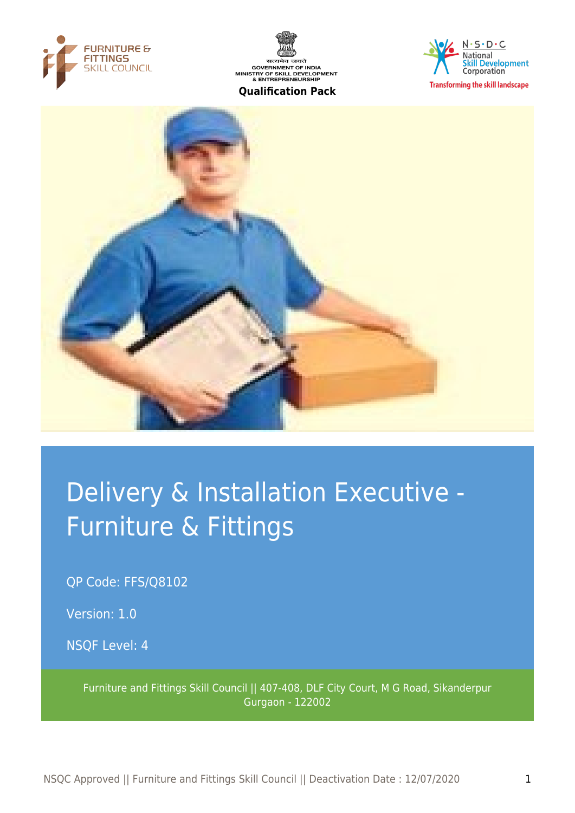



#### $N \cdot S \cdot D \cdot C$ **National Skill Development Corporation Transforming the skill landscape**



# Delivery & Installation Executive - Furniture & Fittings

QP Code: FFS/Q8102

Version: 1.0

NSQF Level: 4

Furniture and Fittings Skill Council || 407-408, DLF City Court, M G Road, Sikanderpur Gurgaon - 122002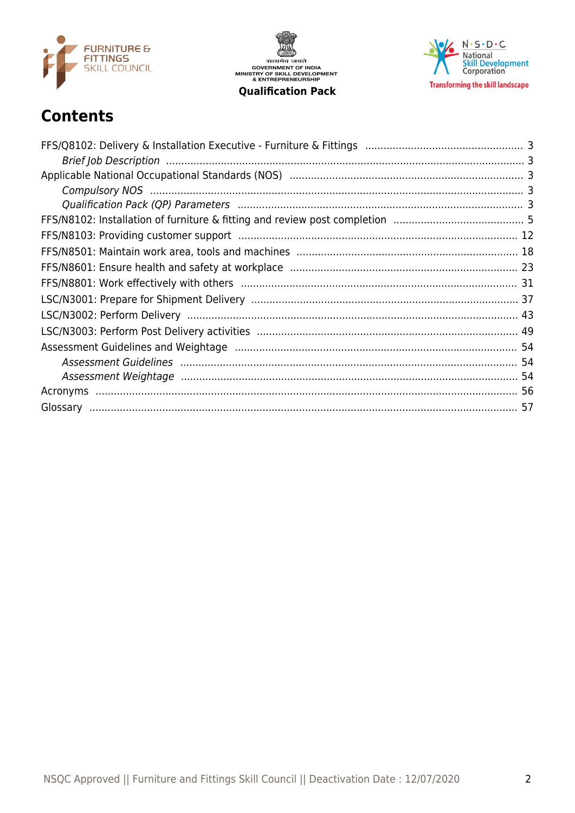

सत्यमेव जयते<br>GOVERNMENT OF INDIA<br>MINISTRY OF SKILL DEVELOPMENT<br>& ENTREPRENEURSHIP

**Qualification Pack** 



# **Contents**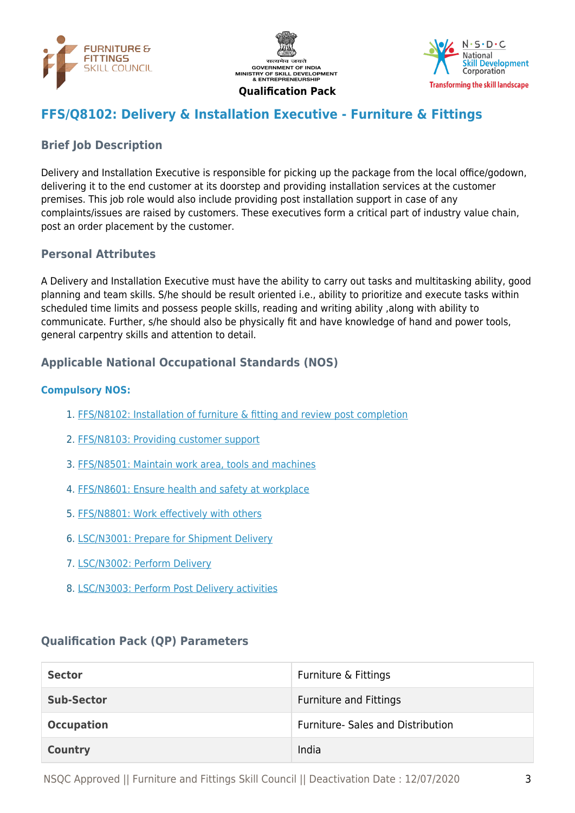





# <span id="page-2-0"></span>**FFS/Q8102: Delivery & Installation Executive - Furniture & Fittings**

# <span id="page-2-1"></span>**Brief Job Description**

Delivery and Installation Executive is responsible for picking up the package from the local office/godown, delivering it to the end customer at its doorstep and providing installation services at the customer premises. This job role would also include providing post installation support in case of any complaints/issues are raised by customers. These executives form a critical part of industry value chain, post an order placement by the customer.

#### **Personal Attributes**

A Delivery and Installation Executive must have the ability to carry out tasks and multitasking ability, good planning and team skills. S/he should be result oriented i.e., ability to prioritize and execute tasks within scheduled time limits and possess people skills, reading and writing ability ,along with ability to communicate. Further, s/he should also be physically fit and have knowledge of hand and power tools, general carpentry skills and attention to detail.

# <span id="page-2-2"></span>**Applicable National Occupational Standards (NOS)**

#### <span id="page-2-3"></span>**Compulsory NOS:**

- 1. [FFS/N8102: Installation of furniture & fitting and review post completion](#page-4-0)
- 2. [FFS/N8103: Providing customer support](#page-11-0)
- 3. [FFS/N8501: Maintain work area, tools and machines](#page-17-0)
- 4. [FFS/N8601: Ensure health and safety at workplace](#page-22-0)
- 5. [FFS/N8801: Work effectively with others](#page-30-0)
- 6. [LSC/N3001: Prepare for Shipment Delivery](#page-36-0)
- 7. [LSC/N3002: Perform Delivery](#page-42-0)
- 8. [LSC/N3003: Perform Post Delivery activities](#page-48-0)

#### <span id="page-2-4"></span>**Qualification Pack (QP) Parameters**

| <b>Sector</b>     | Furniture & Fittings              |
|-------------------|-----------------------------------|
| <b>Sub-Sector</b> | <b>Furniture and Fittings</b>     |
| <b>Occupation</b> | Furniture- Sales and Distribution |
| <b>Country</b>    | India                             |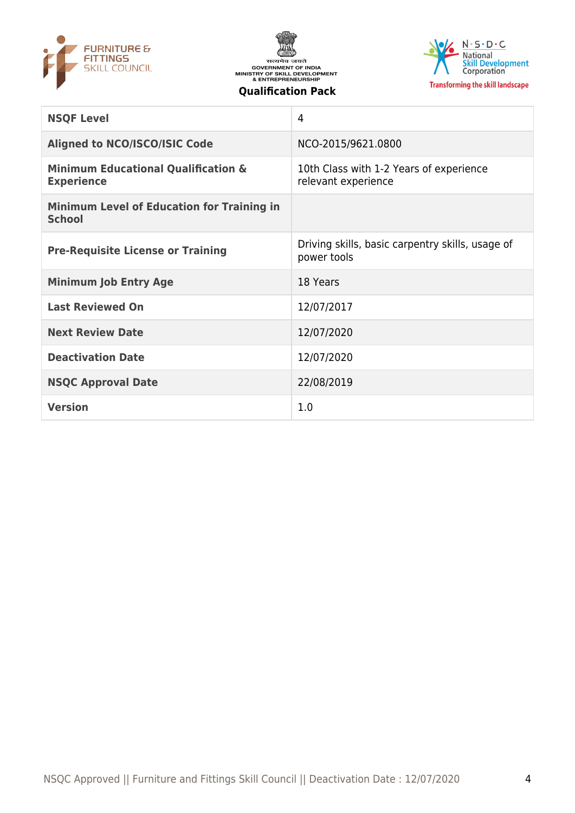





| <b>NSQF Level</b>                                                   | 4                                                               |
|---------------------------------------------------------------------|-----------------------------------------------------------------|
| <b>Aligned to NCO/ISCO/ISIC Code</b>                                | NCO-2015/9621.0800                                              |
| <b>Minimum Educational Qualification &amp;</b><br><b>Experience</b> | 10th Class with 1-2 Years of experience<br>relevant experience  |
| <b>Minimum Level of Education for Training in</b><br><b>School</b>  |                                                                 |
| <b>Pre-Requisite License or Training</b>                            | Driving skills, basic carpentry skills, usage of<br>power tools |
| <b>Minimum Job Entry Age</b>                                        | 18 Years                                                        |
| <b>Last Reviewed On</b>                                             | 12/07/2017                                                      |
| <b>Next Review Date</b>                                             | 12/07/2020                                                      |
| <b>Deactivation Date</b>                                            | 12/07/2020                                                      |
| <b>NSQC Approval Date</b>                                           | 22/08/2019                                                      |
| <b>Version</b>                                                      | 1.0                                                             |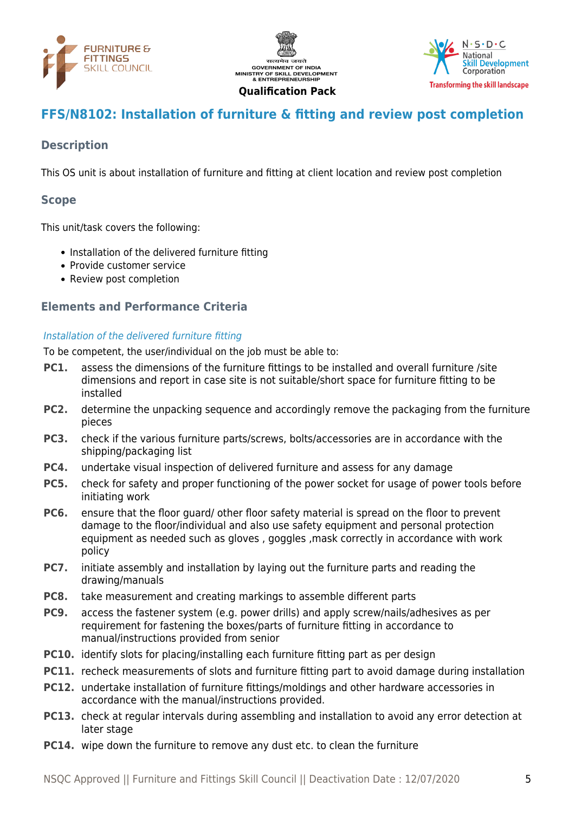





# <span id="page-4-0"></span>**FFS/N8102: Installation of furniture & fitting and review post completion**

# **Description**

This OS unit is about installation of furniture and fitting at client location and review post completion

#### **Scope**

This unit/task covers the following:

- Installation of the delivered furniture fitting
- Provide customer service
- Review post completion

#### **Elements and Performance Criteria**

#### Installation of the delivered furniture fitting

To be competent, the user/individual on the job must be able to:

- **PC1.** assess the dimensions of the furniture fittings to be installed and overall furniture /site dimensions and report in case site is not suitable/short space for furniture fitting to be installed
- **PC2.** determine the unpacking sequence and accordingly remove the packaging from the furniture pieces
- **PC3.** check if the various furniture parts/screws, bolts/accessories are in accordance with the shipping/packaging list
- **PC4.** undertake visual inspection of delivered furniture and assess for any damage
- **PC5.** check for safety and proper functioning of the power socket for usage of power tools before initiating work
- **PC6.** ensure that the floor guard/ other floor safety material is spread on the floor to prevent damage to the floor/individual and also use safety equipment and personal protection equipment as needed such as gloves , goggles ,mask correctly in accordance with work policy
- **PC7.** initiate assembly and installation by laying out the furniture parts and reading the drawing/manuals
- **PC8.** take measurement and creating markings to assemble different parts
- **PC9.** access the fastener system (e.g. power drills) and apply screw/nails/adhesives as per requirement for fastening the boxes/parts of furniture fitting in accordance to manual/instructions provided from senior
- **PC10.** identify slots for placing/installing each furniture fitting part as per design
- **PC11.** recheck measurements of slots and furniture fitting part to avoid damage during installation
- **PC12.** undertake installation of furniture fittings/moldings and other hardware accessories in accordance with the manual/instructions provided.
- **PC13.** check at regular intervals during assembling and installation to avoid any error detection at later stage
- **PC14.** wipe down the furniture to remove any dust etc. to clean the furniture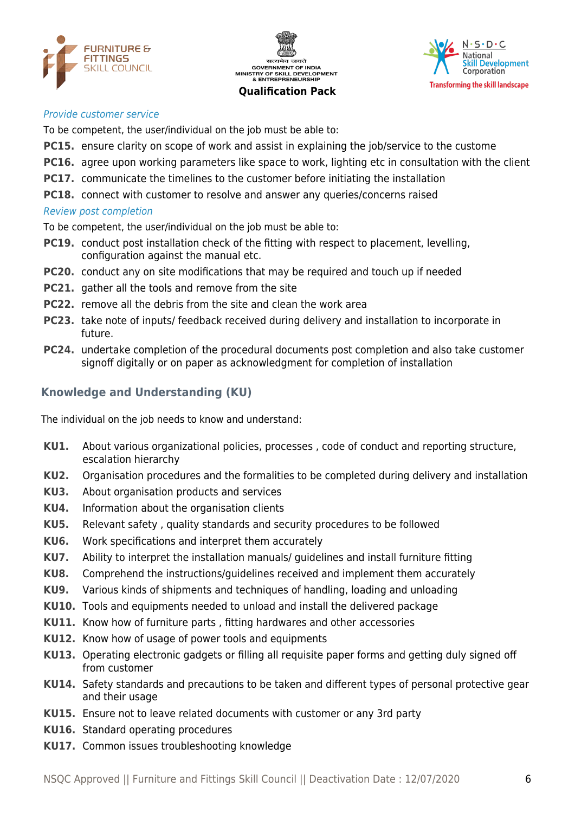





#### Provide customer service

To be competent, the user/individual on the job must be able to:

- **PC15.** ensure clarity on scope of work and assist in explaining the job/service to the custome
- **PC16.** agree upon working parameters like space to work, lighting etc in consultation with the client
- **PC17.** communicate the timelines to the customer before initiating the installation
- **PC18.** connect with customer to resolve and answer any queries/concerns raised

#### Review post completion

To be competent, the user/individual on the job must be able to:

- **PC19.** conduct post installation check of the fitting with respect to placement, levelling, configuration against the manual etc.
- **PC20.** conduct any on site modifications that may be required and touch up if needed
- **PC21.** gather all the tools and remove from the site
- **PC22.** remove all the debris from the site and clean the work area
- **PC23.** take note of inputs/ feedback received during delivery and installation to incorporate in future.
- **PC24.** undertake completion of the procedural documents post completion and also take customer signoff digitally or on paper as acknowledgment for completion of installation

# **Knowledge and Understanding (KU)**

The individual on the job needs to know and understand:

- **KU1.** About various organizational policies, processes , code of conduct and reporting structure, escalation hierarchy
- **KU2.** Organisation procedures and the formalities to be completed during delivery and installation
- **KU3.** About organisation products and services
- **KU4.** Information about the organisation clients
- **KU5.** Relevant safety , quality standards and security procedures to be followed
- **KU6.** Work specifications and interpret them accurately
- **KU7.** Ability to interpret the installation manuals/ guidelines and install furniture fitting
- **KU8.** Comprehend the instructions/guidelines received and implement them accurately
- **KU9.** Various kinds of shipments and techniques of handling, loading and unloading
- **KU10.** Tools and equipments needed to unload and install the delivered package
- **KU11.** Know how of furniture parts , fitting hardwares and other accessories
- **KU12.** Know how of usage of power tools and equipments
- **KU13.** Operating electronic gadgets or filling all requisite paper forms and getting duly signed off from customer
- **KU14.** Safety standards and precautions to be taken and different types of personal protective gear and their usage
- **KU15.** Ensure not to leave related documents with customer or any 3rd party
- **KU16.** Standard operating procedures
- **KU17.** Common issues troubleshooting knowledge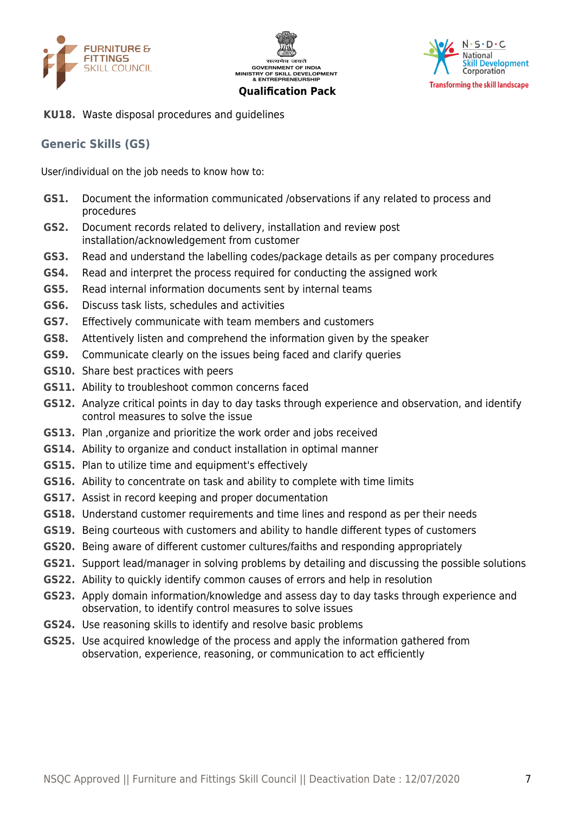





**KU18.** Waste disposal procedures and guidelines

#### **Generic Skills (GS)**

User/individual on the job needs to know how to:

- **GS1.** Document the information communicated /observations if any related to process and procedures
- **GS2.** Document records related to delivery, installation and review post installation/acknowledgement from customer
- **GS3.** Read and understand the labelling codes/package details as per company procedures
- **GS4.** Read and interpret the process required for conducting the assigned work
- **GS5.** Read internal information documents sent by internal teams
- **GS6.** Discuss task lists, schedules and activities
- **GS7.** Effectively communicate with team members and customers
- **GS8.** Attentively listen and comprehend the information given by the speaker
- **GS9.** Communicate clearly on the issues being faced and clarify queries
- **GS10.** Share best practices with peers
- **GS11.** Ability to troubleshoot common concerns faced
- **GS12.** Analyze critical points in day to day tasks through experience and observation, and identify control measures to solve the issue
- **GS13.** Plan ,organize and prioritize the work order and jobs received
- **GS14.** Ability to organize and conduct installation in optimal manner
- **GS15.** Plan to utilize time and equipment's effectively
- **GS16.** Ability to concentrate on task and ability to complete with time limits
- **GS17.** Assist in record keeping and proper documentation
- **GS18.** Understand customer requirements and time lines and respond as per their needs
- **GS19.** Being courteous with customers and ability to handle different types of customers
- **GS20.** Being aware of different customer cultures/faiths and responding appropriately
- **GS21.** Support lead/manager in solving problems by detailing and discussing the possible solutions
- **GS22.** Ability to quickly identify common causes of errors and help in resolution
- **GS23.** Apply domain information/knowledge and assess day to day tasks through experience and observation, to identify control measures to solve issues
- **GS24.** Use reasoning skills to identify and resolve basic problems
- **GS25.** Use acquired knowledge of the process and apply the information gathered from observation, experience, reasoning, or communication to act efficiently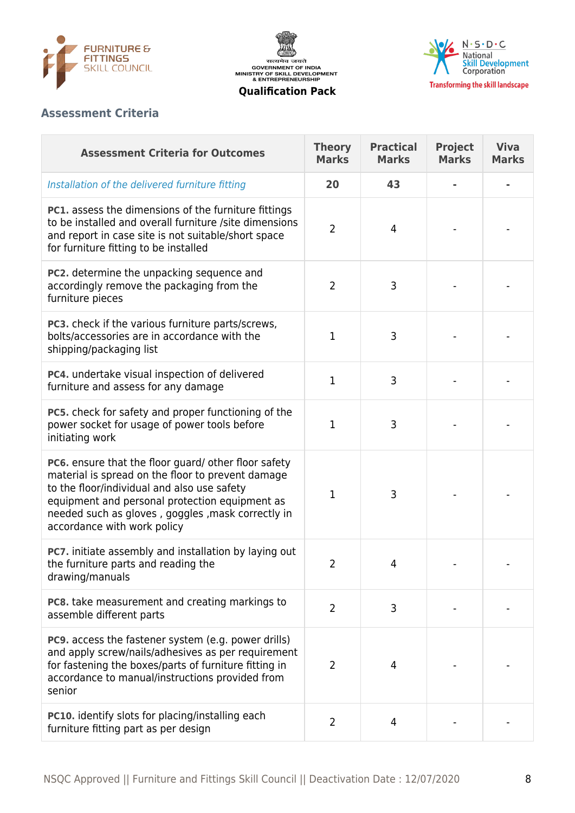





# **Assessment Criteria**

| <b>Assessment Criteria for Outcomes</b>                                                                                                                                                                                                                                                        | <b>Theory</b><br><b>Marks</b> | <b>Practical</b><br><b>Marks</b> | <b>Project</b><br><b>Marks</b> | <b>Viva</b><br><b>Marks</b> |
|------------------------------------------------------------------------------------------------------------------------------------------------------------------------------------------------------------------------------------------------------------------------------------------------|-------------------------------|----------------------------------|--------------------------------|-----------------------------|
| Installation of the delivered furniture fitting                                                                                                                                                                                                                                                | 20                            | 43                               |                                |                             |
| PC1. assess the dimensions of the furniture fittings<br>to be installed and overall furniture /site dimensions<br>and report in case site is not suitable/short space<br>for furniture fitting to be installed                                                                                 | $\overline{2}$                | 4                                |                                |                             |
| PC2. determine the unpacking sequence and<br>accordingly remove the packaging from the<br>furniture pieces                                                                                                                                                                                     | 2                             | 3                                |                                |                             |
| <b>PC3.</b> check if the various furniture parts/screws,<br>bolts/accessories are in accordance with the<br>shipping/packaging list                                                                                                                                                            | 1                             | 3                                |                                |                             |
| PC4. undertake visual inspection of delivered<br>furniture and assess for any damage                                                                                                                                                                                                           | 1                             | 3                                |                                |                             |
| PC5. check for safety and proper functioning of the<br>power socket for usage of power tools before<br>initiating work                                                                                                                                                                         | 1                             | 3                                |                                |                             |
| PC6. ensure that the floor guard/ other floor safety<br>material is spread on the floor to prevent damage<br>to the floor/individual and also use safety<br>equipment and personal protection equipment as<br>needed such as gloves, goggles, mask correctly in<br>accordance with work policy | 1                             | 3                                |                                |                             |
| PC7. initiate assembly and installation by laying out<br>the furniture parts and reading the<br>drawing/manuals                                                                                                                                                                                | 2                             | $\Delta$                         |                                |                             |
| PC8. take measurement and creating markings to<br>assemble different parts                                                                                                                                                                                                                     | $\overline{2}$                | 3                                |                                |                             |
| PC9. access the fastener system (e.g. power drills)<br>and apply screw/nails/adhesives as per requirement<br>for fastening the boxes/parts of furniture fitting in<br>accordance to manual/instructions provided from<br>senior                                                                | $\overline{2}$                | 4                                |                                |                             |
| PC10. identify slots for placing/installing each<br>furniture fitting part as per design                                                                                                                                                                                                       | $\overline{2}$                | 4                                |                                |                             |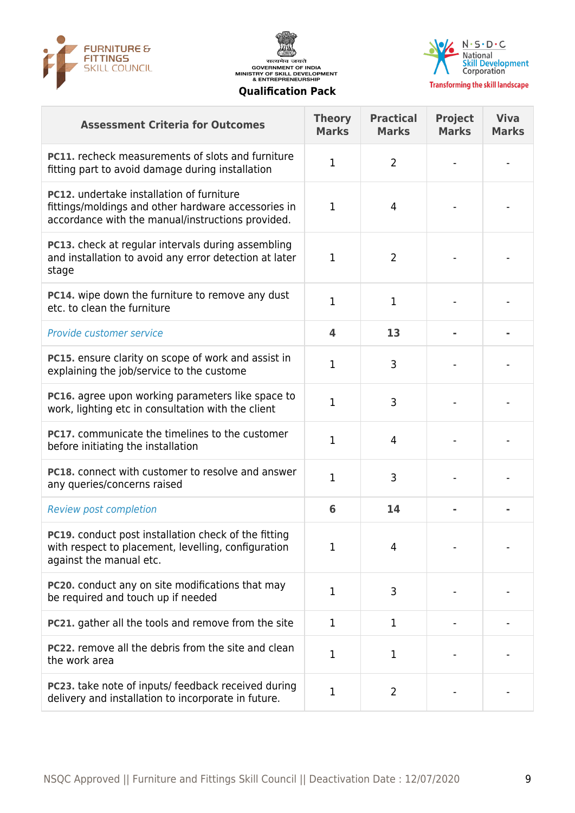





| <b>Assessment Criteria for Outcomes</b>                                                                                                                      | <b>Theory</b><br><b>Marks</b> | <b>Practical</b><br><b>Marks</b> | <b>Project</b><br><b>Marks</b> | <b>Viva</b><br><b>Marks</b> |
|--------------------------------------------------------------------------------------------------------------------------------------------------------------|-------------------------------|----------------------------------|--------------------------------|-----------------------------|
| <b>PC11.</b> recheck measurements of slots and furniture<br>fitting part to avoid damage during installation                                                 |                               | 2                                |                                |                             |
| <b>PC12.</b> undertake installation of furniture<br>fittings/moldings and other hardware accessories in<br>accordance with the manual/instructions provided. | 1                             | 4                                |                                |                             |
| <b>PC13.</b> check at regular intervals during assembling<br>and installation to avoid any error detection at later<br>stage                                 |                               | 2                                |                                |                             |
| <b>PC14.</b> wipe down the furniture to remove any dust<br>etc. to clean the furniture                                                                       |                               | 1                                |                                |                             |
| Provide customer service                                                                                                                                     | $\overline{\mathbf{4}}$       | 13                               |                                |                             |
| PC15. ensure clarity on scope of work and assist in                                                                                                          |                               | ∍                                |                                |                             |

| PC13. check at regular intervals during assembling<br>and installation to avoid any error detection at later<br>stage                  | 1                       | 2              |  |
|----------------------------------------------------------------------------------------------------------------------------------------|-------------------------|----------------|--|
| PC14. wipe down the furniture to remove any dust<br>etc. to clean the furniture                                                        | 1                       | 1              |  |
| Provide customer service                                                                                                               | $\overline{\mathbf{4}}$ | 13             |  |
| PC15. ensure clarity on scope of work and assist in<br>explaining the job/service to the custome                                       | $\mathbf{1}$            | 3              |  |
| PC16. agree upon working parameters like space to<br>work, lighting etc in consultation with the client                                | $\mathbf{1}$            | 3              |  |
| PC17. communicate the timelines to the customer<br>before initiating the installation                                                  | $\mathbf{1}$            | 4              |  |
| PC18. connect with customer to resolve and answer<br>any queries/concerns raised                                                       | $\mathbf{1}$            | 3              |  |
| <b>Review post completion</b>                                                                                                          | 6                       | 14             |  |
| PC19. conduct post installation check of the fitting<br>with respect to placement, levelling, configuration<br>against the manual etc. | 1                       | 4              |  |
| PC20. conduct any on site modifications that may<br>be required and touch up if needed                                                 | $\mathbf{1}$            | 3              |  |
| PC21. gather all the tools and remove from the site                                                                                    | $\mathbf{1}$            | 1              |  |
| PC22. remove all the debris from the site and clean<br>the work area                                                                   | 1                       | 1              |  |
| PC23. take note of inputs/ feedback received during<br>delivery and installation to incorporate in future.                             | 1                       | $\overline{2}$ |  |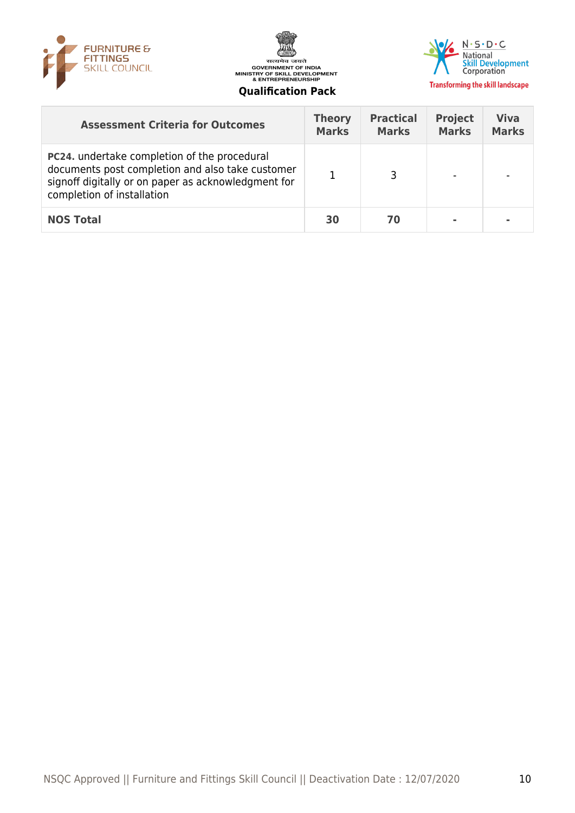





|  | ualification Pack |
|--|-------------------|
|  |                   |

| <b>Assessment Criteria for Outcomes</b>                                                                                                                                                      | <b>Theory</b><br><b>Marks</b> | <b>Practical</b><br><b>Marks</b> | <b>Project</b><br><b>Marks</b> | <b>Viva</b><br><b>Marks</b> |
|----------------------------------------------------------------------------------------------------------------------------------------------------------------------------------------------|-------------------------------|----------------------------------|--------------------------------|-----------------------------|
| <b>PC24.</b> undertake completion of the procedural<br>documents post completion and also take customer<br>signoff digitally or on paper as acknowledgment for<br>completion of installation |                               |                                  |                                |                             |
| <b>NOS Total</b>                                                                                                                                                                             | 30                            | 70                               |                                |                             |
|                                                                                                                                                                                              |                               |                                  |                                |                             |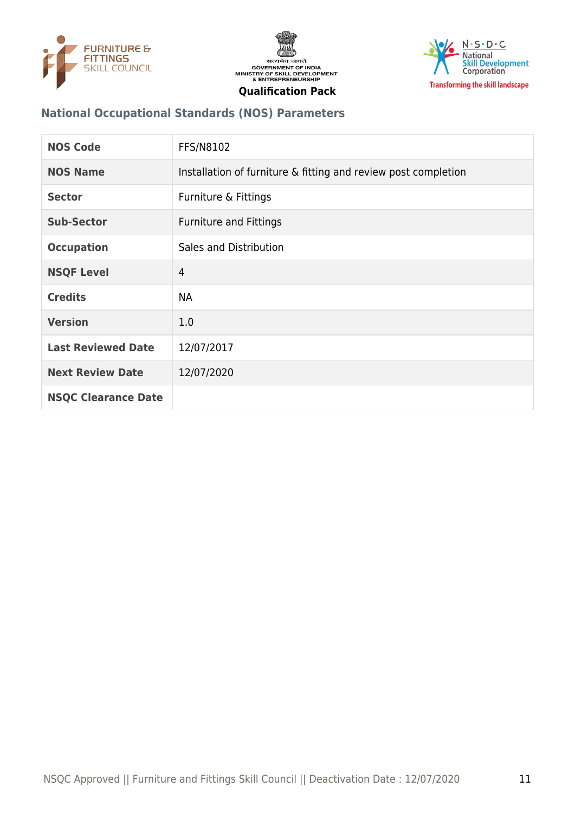





## **National Occupational Standards (NOS) Parameters**

| <b>NOS Code</b>            | FFS/N8102                                                      |
|----------------------------|----------------------------------------------------------------|
| <b>NOS Name</b>            | Installation of furniture & fitting and review post completion |
| <b>Sector</b>              | Furniture & Fittings                                           |
| Sub-Sector                 | <b>Furniture and Fittings</b>                                  |
| <b>Occupation</b>          | Sales and Distribution                                         |
| <b>NSQF Level</b>          | $\overline{4}$                                                 |
| <b>Credits</b>             | <b>NA</b>                                                      |
| <b>Version</b>             | 1.0                                                            |
| <b>Last Reviewed Date</b>  | 12/07/2017                                                     |
| <b>Next Review Date</b>    | 12/07/2020                                                     |
| <b>NSQC Clearance Date</b> |                                                                |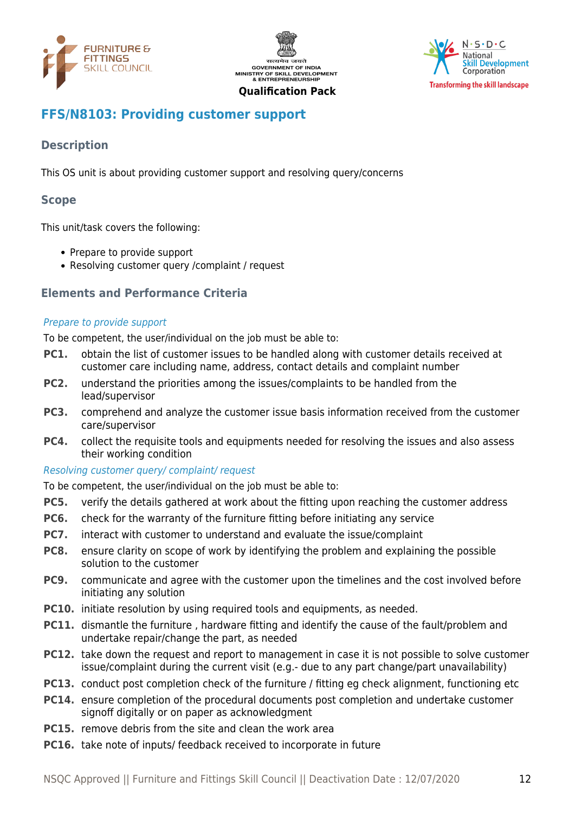





# <span id="page-11-0"></span>**FFS/N8103: Providing customer support**

# **Description**

This OS unit is about providing customer support and resolving query/concerns

#### **Scope**

This unit/task covers the following:

- Prepare to provide support
- Resolving customer query / complaint / request

#### **Elements and Performance Criteria**

#### Prepare to provide support

To be competent, the user/individual on the job must be able to:

- **PC1.** obtain the list of customer issues to be handled along with customer details received at customer care including name, address, contact details and complaint number
- **PC2.** understand the priorities among the issues/complaints to be handled from the lead/supervisor
- **PC3.** comprehend and analyze the customer issue basis information received from the customer care/supervisor
- **PC4.** collect the requisite tools and equipments needed for resolving the issues and also assess their working condition

#### Resolving customer query/ complaint/ request

To be competent, the user/individual on the job must be able to:

- **PC5.** verify the details gathered at work about the fitting upon reaching the customer address
- **PC6.** check for the warranty of the furniture fitting before initiating any service
- **PC7.** interact with customer to understand and evaluate the issue/complaint
- **PC8.** ensure clarity on scope of work by identifying the problem and explaining the possible solution to the customer
- **PC9.** communicate and agree with the customer upon the timelines and the cost involved before initiating any solution
- **PC10.** initiate resolution by using required tools and equipments, as needed.
- **PC11.** dismantle the furniture , hardware fitting and identify the cause of the fault/problem and undertake repair/change the part, as needed
- **PC12.** take down the request and report to management in case it is not possible to solve customer issue/complaint during the current visit (e.g.- due to any part change/part unavailability)
- **PC13.** conduct post completion check of the furniture / fitting eg check alignment, functioning etc
- **PC14.** ensure completion of the procedural documents post completion and undertake customer signoff digitally or on paper as acknowledgment
- **PC15.** remove debris from the site and clean the work area
- **PC16.** take note of inputs/ feedback received to incorporate in future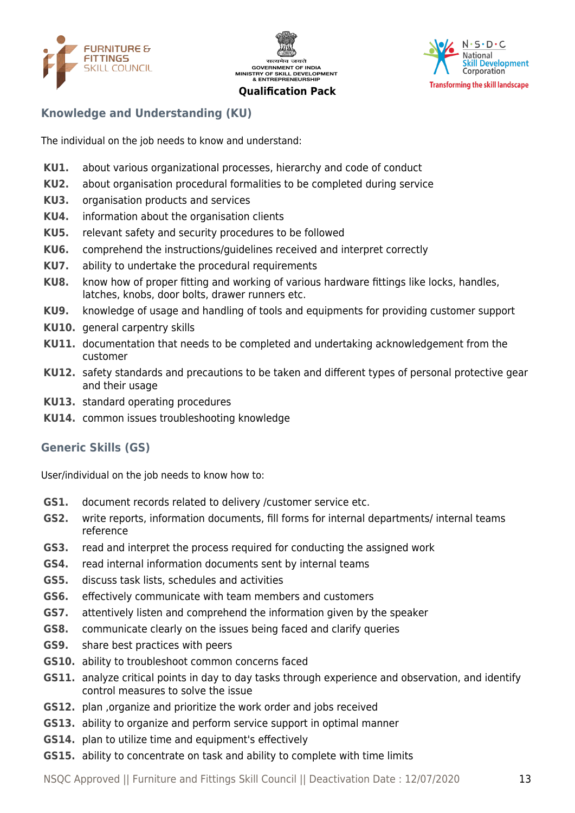





# **Knowledge and Understanding (KU)**

The individual on the job needs to know and understand:

- **KU1.** about various organizational processes, hierarchy and code of conduct
- **KU2.** about organisation procedural formalities to be completed during service
- **KU3.** organisation products and services
- **KU4.** information about the organisation clients
- **KU5.** relevant safety and security procedures to be followed
- **KU6.** comprehend the instructions/guidelines received and interpret correctly
- **KU7.** ability to undertake the procedural requirements
- **KU8.** know how of proper fitting and working of various hardware fittings like locks, handles, latches, knobs, door bolts, drawer runners etc.
- **KU9.** knowledge of usage and handling of tools and equipments for providing customer support
- **KU10.** general carpentry skills
- **KU11.** documentation that needs to be completed and undertaking acknowledgement from the customer
- **KU12.** safety standards and precautions to be taken and different types of personal protective gear and their usage
- **KU13.** standard operating procedures
- **KU14.** common issues troubleshooting knowledge

# **Generic Skills (GS)**

User/individual on the job needs to know how to:

- **GS1.** document records related to delivery /customer service etc.
- **GS2.** write reports, information documents, fill forms for internal departments/ internal teams reference
- **GS3.** read and interpret the process required for conducting the assigned work
- **GS4.** read internal information documents sent by internal teams
- **GS5.** discuss task lists, schedules and activities
- **GS6.** effectively communicate with team members and customers
- **GS7.** attentively listen and comprehend the information given by the speaker
- **GS8.** communicate clearly on the issues being faced and clarify queries
- **GS9.** share best practices with peers
- **GS10.** ability to troubleshoot common concerns faced
- **GS11.** analyze critical points in day to day tasks through experience and observation, and identify control measures to solve the issue
- **GS12.** plan ,organize and prioritize the work order and jobs received
- **GS13.** ability to organize and perform service support in optimal manner
- **GS14.** plan to utilize time and equipment's effectively
- **GS15.** ability to concentrate on task and ability to complete with time limits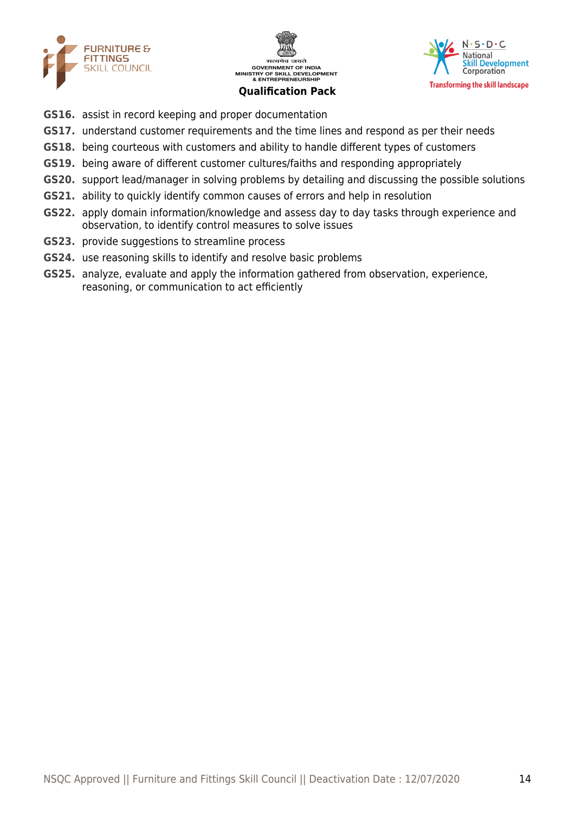





- **GS16.** assist in record keeping and proper documentation
- **GS17.** understand customer requirements and the time lines and respond as per their needs
- **GS18.** being courteous with customers and ability to handle different types of customers
- **GS19.** being aware of different customer cultures/faiths and responding appropriately
- **GS20.** support lead/manager in solving problems by detailing and discussing the possible solutions
- **GS21.** ability to quickly identify common causes of errors and help in resolution
- **GS22.** apply domain information/knowledge and assess day to day tasks through experience and observation, to identify control measures to solve issues
- **GS23.** provide suggestions to streamline process
- **GS24.** use reasoning skills to identify and resolve basic problems
- **GS25.** analyze, evaluate and apply the information gathered from observation, experience, reasoning, or communication to act efficiently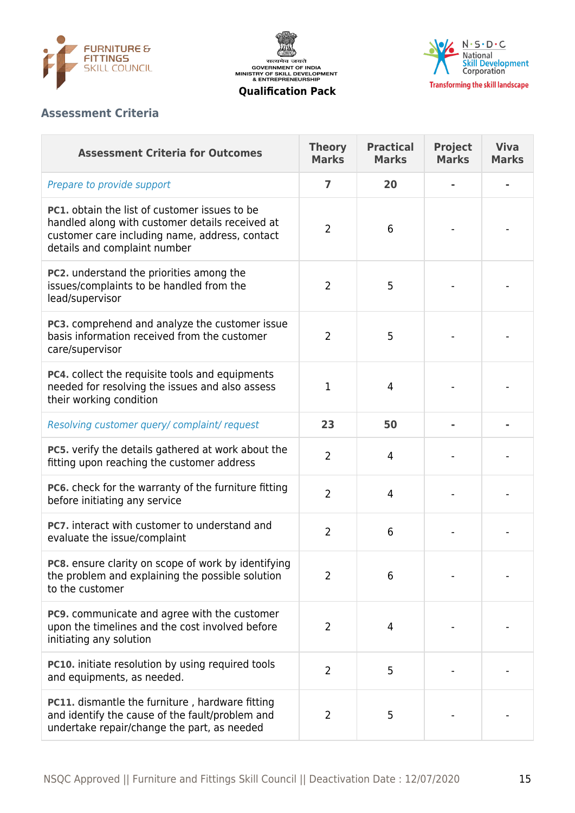





## **Assessment Criteria**

| <b>Assessment Criteria for Outcomes</b>                                                                                                                                                   | <b>Theory</b><br><b>Marks</b> | <b>Practical</b><br><b>Marks</b> | <b>Project</b><br><b>Marks</b> | <b>Viva</b><br><b>Marks</b> |
|-------------------------------------------------------------------------------------------------------------------------------------------------------------------------------------------|-------------------------------|----------------------------------|--------------------------------|-----------------------------|
| Prepare to provide support                                                                                                                                                                | 7                             | 20                               |                                |                             |
| <b>PC1.</b> obtain the list of customer issues to be<br>handled along with customer details received at<br>customer care including name, address, contact<br>details and complaint number | $\overline{2}$                | 6                                |                                |                             |
| PC2. understand the priorities among the<br>issues/complaints to be handled from the<br>lead/supervisor                                                                                   | $\overline{2}$                | 5                                |                                |                             |
| PC3. comprehend and analyze the customer issue<br>basis information received from the customer<br>care/supervisor                                                                         | $\overline{2}$                | 5                                |                                |                             |
| <b>PC4.</b> collect the requisite tools and equipments<br>needed for resolving the issues and also assess<br>their working condition                                                      | $\mathbf{1}$                  | 4                                |                                |                             |
| Resolving customer query/ complaint/ request                                                                                                                                              | 23                            | 50                               |                                |                             |
| PC5. verify the details gathered at work about the<br>fitting upon reaching the customer address                                                                                          | $\overline{2}$                | 4                                |                                |                             |
| PC6. check for the warranty of the furniture fitting<br>before initiating any service                                                                                                     | $\overline{2}$                | 4                                |                                |                             |
| <b>PC7.</b> interact with customer to understand and<br>evaluate the issue/complaint                                                                                                      | $\overline{2}$                | 6                                |                                |                             |
| PC8. ensure clarity on scope of work by identifying<br>the problem and explaining the possible solution<br>to the customer                                                                | $\overline{2}$                | 6                                |                                |                             |
| PC9. communicate and agree with the customer<br>upon the timelines and the cost involved before<br>initiating any solution                                                                | $\overline{2}$                | 4                                |                                |                             |
| <b>PC10.</b> initiate resolution by using required tools<br>and equipments, as needed.                                                                                                    | $\overline{2}$                | 5                                |                                |                             |
| <b>PC11.</b> dismantle the furniture, hardware fitting<br>and identify the cause of the fault/problem and<br>undertake repair/change the part, as needed                                  | $\overline{2}$                | 5                                |                                |                             |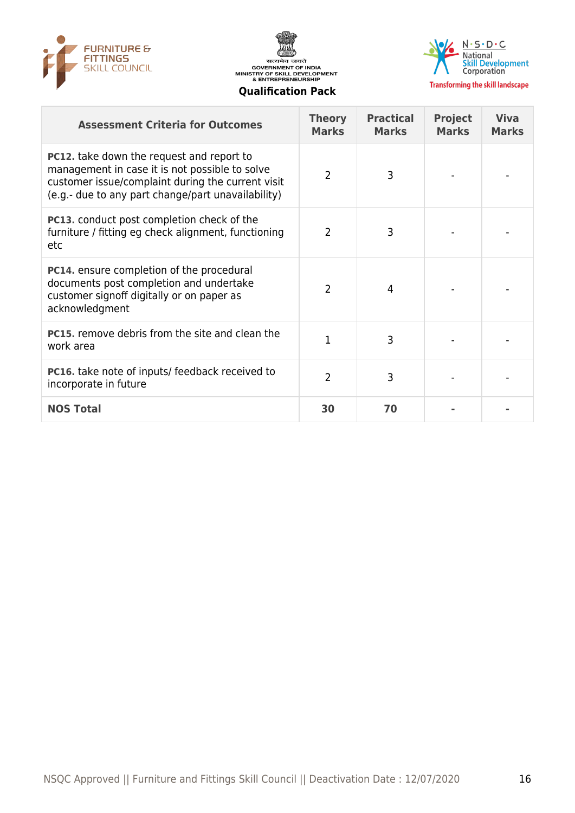





**Transforming the skill landscape** 

#### **Assessment Criteria for Outcomes Theory Marks Practical Marks Project Marks Viva Marks PC12.** take down the request and report to management in case it is not possible to solve customer issue/complaint during the current visit (e.g.- due to any part change/part unavailability)  $2 \mid 3 \mid \cdot \cdot \cdot \cdot$ **PC13.** conduct post completion check of the furniture / fitting eg check alignment, functioning etc  $2 \mid 3 \mid \cdot \cdot \cdot \cdot |$ **PC14.** ensure completion of the procedural documents post completion and undertake customer signoff digitally or on paper as acknowledgment 2 | 4 | - | -**PC15.** remove debris from the site and clean the **PCLS.** Temple desires non-the site and clean the  $\begin{vmatrix} 1 & 3 & \end{vmatrix}$   $\begin{vmatrix} 3 & 1 \end{vmatrix}$   $\begin{vmatrix} -1 & 3 \end{vmatrix}$ **PC16.** take note of inputs/ feedback received to PCT6. Take note of inputs/ reedback received to  $\begin{vmatrix} 2 & 3 & 1 \end{vmatrix}$  . **NOS Total 30 70 - -**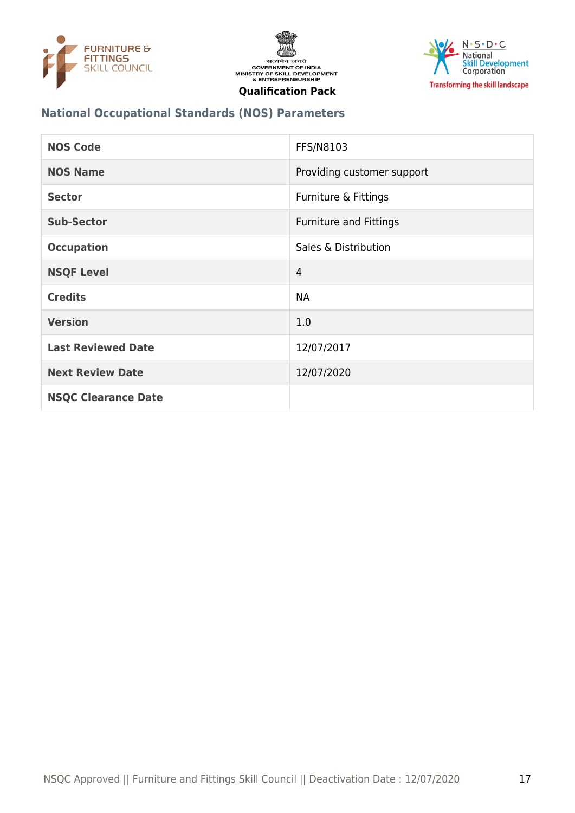





# **National Occupational Standards (NOS) Parameters**

| <b>NOS Code</b>            | FFS/N8103                     |
|----------------------------|-------------------------------|
| <b>NOS Name</b>            | Providing customer support    |
| <b>Sector</b>              | Furniture & Fittings          |
| <b>Sub-Sector</b>          | <b>Furniture and Fittings</b> |
| <b>Occupation</b>          | Sales & Distribution          |
| <b>NSQF Level</b>          | $\overline{4}$                |
| <b>Credits</b>             | <b>NA</b>                     |
| <b>Version</b>             | 1.0                           |
| <b>Last Reviewed Date</b>  | 12/07/2017                    |
| <b>Next Review Date</b>    | 12/07/2020                    |
| <b>NSQC Clearance Date</b> |                               |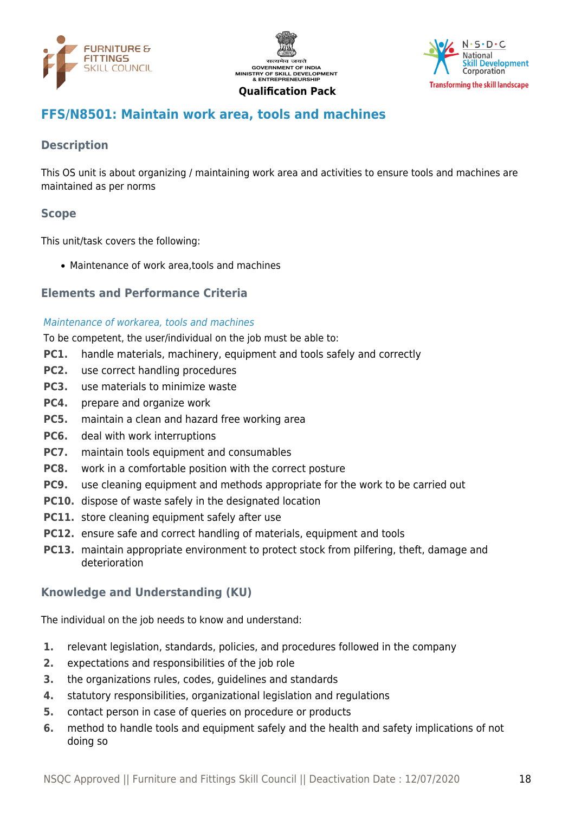





# <span id="page-17-0"></span>**FFS/N8501: Maintain work area, tools and machines**

# **Description**

This OS unit is about organizing / maintaining work area and activities to ensure tools and machines are maintained as per norms

# **Scope**

This unit/task covers the following:

Maintenance of work area,tools and machines

#### **Elements and Performance Criteria**

#### Maintenance of workarea, tools and machines

To be competent, the user/individual on the job must be able to:

- **PC1.** handle materials, machinery, equipment and tools safely and correctly
- **PC2.** use correct handling procedures
- **PC3.** use materials to minimize waste
- **PC4.** prepare and organize work
- **PC5.** maintain a clean and hazard free working area
- **PC6.** deal with work interruptions
- **PC7.** maintain tools equipment and consumables
- **PC8.** work in a comfortable position with the correct posture
- **PC9.** use cleaning equipment and methods appropriate for the work to be carried out
- **PC10.** dispose of waste safely in the designated location
- **PC11.** store cleaning equipment safely after use
- **PC12.** ensure safe and correct handling of materials, equipment and tools
- **PC13.** maintain appropriate environment to protect stock from pilfering, theft, damage and deterioration

# **Knowledge and Understanding (KU)**

The individual on the job needs to know and understand:

- **1.** relevant legislation, standards, policies, and procedures followed in the company
- **2.** expectations and responsibilities of the job role
- **3.** the organizations rules, codes, guidelines and standards
- **4.** statutory responsibilities, organizational legislation and regulations
- **5.** contact person in case of queries on procedure or products
- **6.** method to handle tools and equipment safely and the health and safety implications of not doing so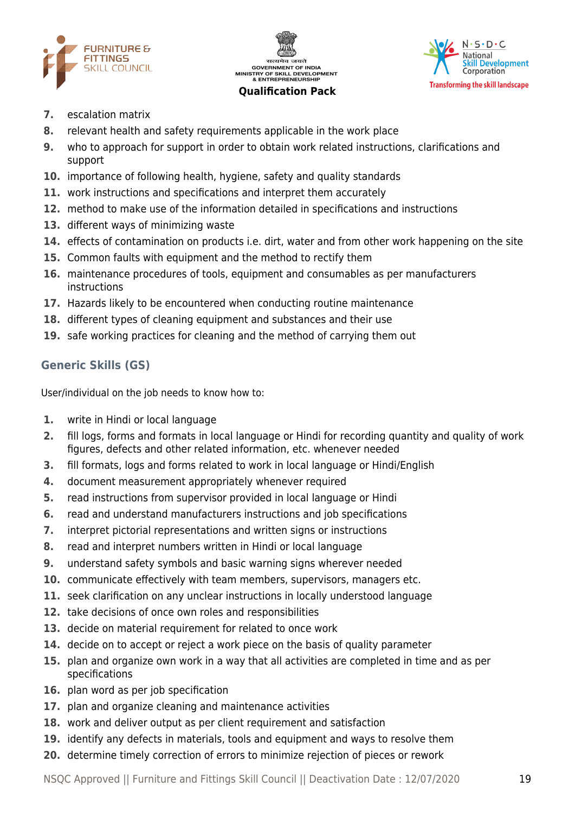





- **7.** escalation matrix
- **8.** relevant health and safety requirements applicable in the work place
- **9.** who to approach for support in order to obtain work related instructions, clarifications and support
- **10.** importance of following health, hygiene, safety and quality standards
- **11.** work instructions and specifications and interpret them accurately
- **12.** method to make use of the information detailed in specifications and instructions
- **13.** different ways of minimizing waste
- **14.** effects of contamination on products i.e. dirt, water and from other work happening on the site
- **15.** Common faults with equipment and the method to rectify them
- **16.** maintenance procedures of tools, equipment and consumables as per manufacturers instructions
- **17.** Hazards likely to be encountered when conducting routine maintenance
- **18.** different types of cleaning equipment and substances and their use
- **19.** safe working practices for cleaning and the method of carrying them out

# **Generic Skills (GS)**

User/individual on the job needs to know how to:

- **1.** write in Hindi or local language
- **2.** fill logs, forms and formats in local language or Hindi for recording quantity and quality of work figures, defects and other related information, etc. whenever needed
- **3.** fill formats, logs and forms related to work in local language or Hindi/English
- **4.** document measurement appropriately whenever required
- **5.** read instructions from supervisor provided in local language or Hindi
- **6.** read and understand manufacturers instructions and job specifications
- **7.** interpret pictorial representations and written signs or instructions
- **8.** read and interpret numbers written in Hindi or local language
- **9.** understand safety symbols and basic warning signs wherever needed
- **10.** communicate effectively with team members, supervisors, managers etc.
- **11.** seek clarification on any unclear instructions in locally understood language
- **12.** take decisions of once own roles and responsibilities
- **13.** decide on material requirement for related to once work
- **14.** decide on to accept or reject a work piece on the basis of quality parameter
- **15.** plan and organize own work in a way that all activities are completed in time and as per specifications
- **16.** plan word as per job specification
- **17.** plan and organize cleaning and maintenance activities
- **18.** work and deliver output as per client requirement and satisfaction
- **19.** identify any defects in materials, tools and equipment and ways to resolve them
- **20.** determine timely correction of errors to minimize rejection of pieces or rework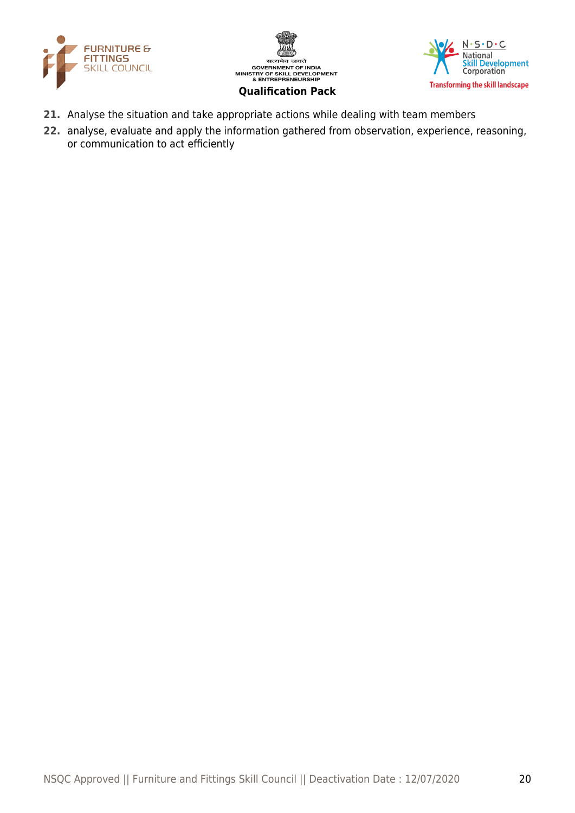





- **21.** Analyse the situation and take appropriate actions while dealing with team members
- **22.** analyse, evaluate and apply the information gathered from observation, experience, reasoning, or communication to act efficiently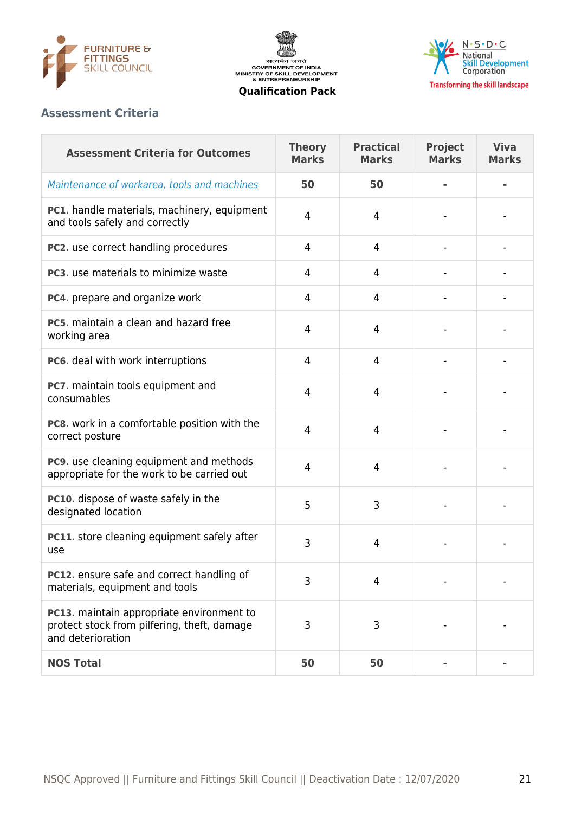





#### **Assessment Criteria**

| <b>Assessment Criteria for Outcomes</b>                                                                       | <b>Theory</b><br><b>Marks</b> | <b>Practical</b><br><b>Marks</b> | <b>Project</b><br><b>Marks</b> | <b>Viva</b><br><b>Marks</b> |
|---------------------------------------------------------------------------------------------------------------|-------------------------------|----------------------------------|--------------------------------|-----------------------------|
| Maintenance of workarea, tools and machines                                                                   | 50                            | 50                               |                                | ٠                           |
| <b>PC1.</b> handle materials, machinery, equipment<br>and tools safely and correctly                          | 4                             | 4                                |                                |                             |
| PC2. use correct handling procedures                                                                          | 4                             | 4                                |                                |                             |
| PC3, use materials to minimize waste                                                                          | 4                             | 4                                |                                |                             |
| PC4. prepare and organize work                                                                                | 4                             | 4                                |                                |                             |
| PC5, maintain a clean and hazard free<br>working area                                                         | 4                             | 4                                |                                |                             |
| PC6. deal with work interruptions                                                                             | $\overline{4}$                | $\overline{4}$                   |                                |                             |
| PC7. maintain tools equipment and<br>consumables                                                              | 4                             | 4                                |                                |                             |
| PC8. work in a comfortable position with the<br>correct posture                                               | 4                             | 4                                |                                |                             |
| PC9. use cleaning equipment and methods<br>appropriate for the work to be carried out                         | 4                             | 4                                |                                |                             |
| PC10. dispose of waste safely in the<br>designated location                                                   | 5                             | 3                                |                                |                             |
| PC11. store cleaning equipment safely after<br>use                                                            | 3                             | 4                                |                                |                             |
| PC12. ensure safe and correct handling of<br>materials, equipment and tools                                   | 3                             | 4                                |                                |                             |
| PC13. maintain appropriate environment to<br>protect stock from pilfering, theft, damage<br>and deterioration | 3                             | 3                                |                                |                             |
| <b>NOS Total</b>                                                                                              | 50                            | 50                               |                                |                             |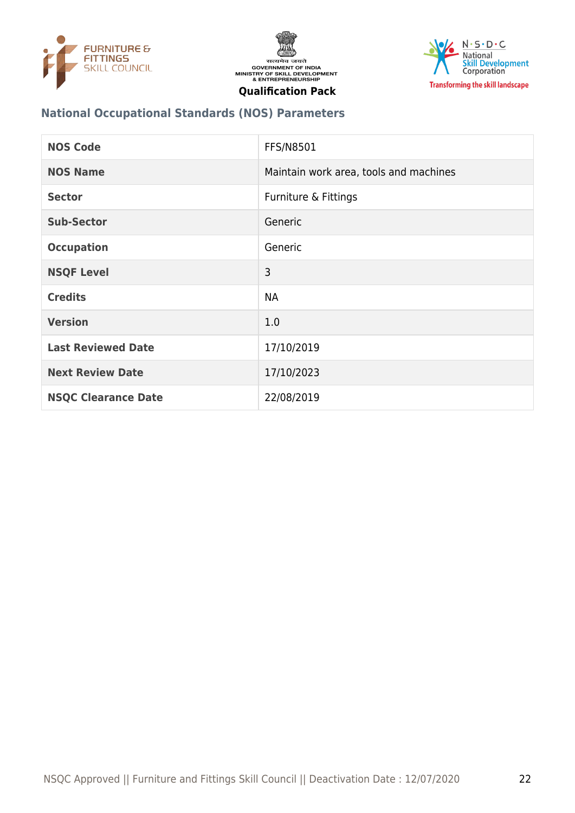





## **National Occupational Standards (NOS) Parameters**

| <b>NOS Code</b>            | <b>FFS/N8501</b>                       |
|----------------------------|----------------------------------------|
| <b>NOS Name</b>            | Maintain work area, tools and machines |
| <b>Sector</b>              | Furniture & Fittings                   |
| <b>Sub-Sector</b>          | Generic                                |
| <b>Occupation</b>          | Generic                                |
| <b>NSQF Level</b>          | 3                                      |
| <b>Credits</b>             | <b>NA</b>                              |
| <b>Version</b>             | 1.0                                    |
| <b>Last Reviewed Date</b>  | 17/10/2019                             |
| <b>Next Review Date</b>    | 17/10/2023                             |
| <b>NSQC Clearance Date</b> | 22/08/2019                             |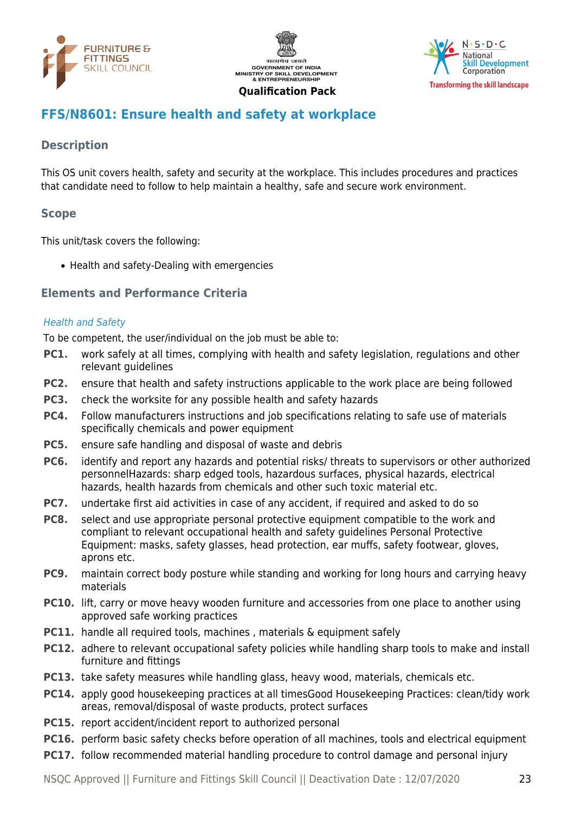





# <span id="page-22-0"></span>**FFS/N8601: Ensure health and safety at workplace**

# **Description**

This OS unit covers health, safety and security at the workplace. This includes procedures and practices that candidate need to follow to help maintain a healthy, safe and secure work environment.

#### **Scope**

This unit/task covers the following:

• Health and safety-Dealing with emergencies

#### **Elements and Performance Criteria**

#### Health and Safety

To be competent, the user/individual on the job must be able to:

- **PC1.** work safely at all times, complying with health and safety legislation, regulations and other relevant quidelines
- **PC2.** ensure that health and safety instructions applicable to the work place are being followed
- **PC3.** check the worksite for any possible health and safety hazards
- **PC4.** Follow manufacturers instructions and job specifications relating to safe use of materials specifically chemicals and power equipment
- **PC5.** ensure safe handling and disposal of waste and debris
- **PC6.** identify and report any hazards and potential risks/ threats to supervisors or other authorized personnelHazards: sharp edged tools, hazardous surfaces, physical hazards, electrical hazards, health hazards from chemicals and other such toxic material etc.
- **PC7.** undertake first aid activities in case of any accident, if required and asked to do so
- **PC8.** select and use appropriate personal protective equipment compatible to the work and compliant to relevant occupational health and safety guidelines Personal Protective Equipment: masks, safety glasses, head protection, ear muffs, safety footwear, gloves, aprons etc.
- **PC9.** maintain correct body posture while standing and working for long hours and carrying heavy materials
- **PC10.** lift, carry or move heavy wooden furniture and accessories from one place to another using approved safe working practices
- **PC11.** handle all required tools, machines, materials & equipment safely
- **PC12.** adhere to relevant occupational safety policies while handling sharp tools to make and install furniture and fittings
- **PC13.** take safety measures while handling glass, heavy wood, materials, chemicals etc.
- **PC14.** apply good housekeeping practices at all timesGood Housekeeping Practices: clean/tidy work areas, removal/disposal of waste products, protect surfaces
- **PC15.** report accident/incident report to authorized personal
- **PC16.** perform basic safety checks before operation of all machines, tools and electrical equipment
- **PC17.** follow recommended material handling procedure to control damage and personal injury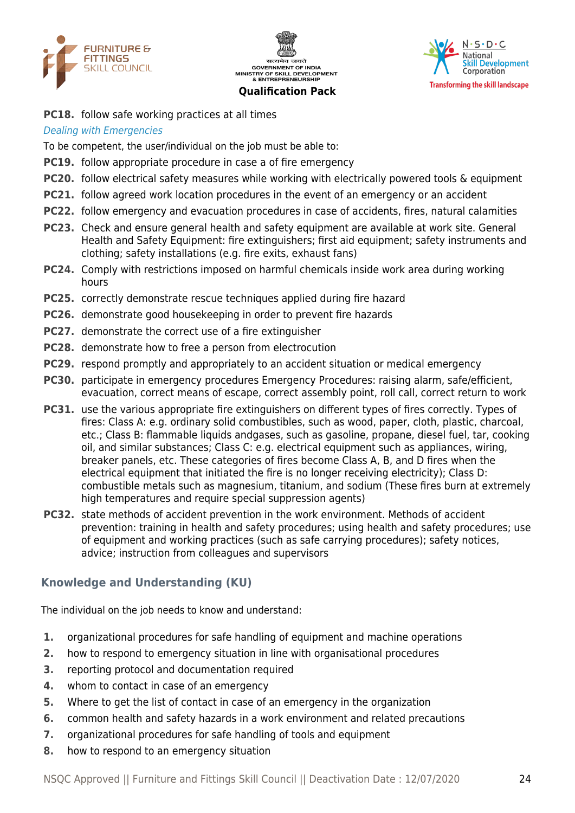





**PC18.** follow safe working practices at all times

#### Dealing with Emergencies

To be competent, the user/individual on the job must be able to:

- **PC19.** follow appropriate procedure in case a of fire emergency
- **PC20.** follow electrical safety measures while working with electrically powered tools & equipment
- **PC21.** follow agreed work location procedures in the event of an emergency or an accident
- **PC22.** follow emergency and evacuation procedures in case of accidents, fires, natural calamities
- **PC23.** Check and ensure general health and safety equipment are available at work site. General Health and Safety Equipment: fire extinguishers; first aid equipment; safety instruments and clothing; safety installations (e.g. fire exits, exhaust fans)
- **PC24.** Comply with restrictions imposed on harmful chemicals inside work area during working hours
- **PC25.** correctly demonstrate rescue techniques applied during fire hazard
- **PC26.** demonstrate good housekeeping in order to prevent fire hazards
- **PC27.** demonstrate the correct use of a fire extinguisher
- **PC28.** demonstrate how to free a person from electrocution
- **PC29.** respond promptly and appropriately to an accident situation or medical emergency
- **PC30.** participate in emergency procedures Emergency Procedures: raising alarm, safe/efficient, evacuation, correct means of escape, correct assembly point, roll call, correct return to work
- **PC31.** use the various appropriate fire extinguishers on different types of fires correctly. Types of fires: Class A: e.g. ordinary solid combustibles, such as wood, paper, cloth, plastic, charcoal, etc.; Class B: flammable liquids andgases, such as gasoline, propane, diesel fuel, tar, cooking oil, and similar substances; Class C: e.g. electrical equipment such as appliances, wiring, breaker panels, etc. These categories of fires become Class A, B, and D fires when the electrical equipment that initiated the fire is no longer receiving electricity); Class D: combustible metals such as magnesium, titanium, and sodium (These fires burn at extremely high temperatures and require special suppression agents)
- **PC32.** state methods of accident prevention in the work environment. Methods of accident prevention: training in health and safety procedures; using health and safety procedures; use of equipment and working practices (such as safe carrying procedures); safety notices, advice; instruction from colleagues and supervisors

#### **Knowledge and Understanding (KU)**

The individual on the job needs to know and understand:

- **1.** organizational procedures for safe handling of equipment and machine operations
- **2.** how to respond to emergency situation in line with organisational procedures
- **3.** reporting protocol and documentation required
- **4.** whom to contact in case of an emergency
- **5.** Where to get the list of contact in case of an emergency in the organization
- **6.** common health and safety hazards in a work environment and related precautions
- **7.** organizational procedures for safe handling of tools and equipment
- **8.** how to respond to an emergency situation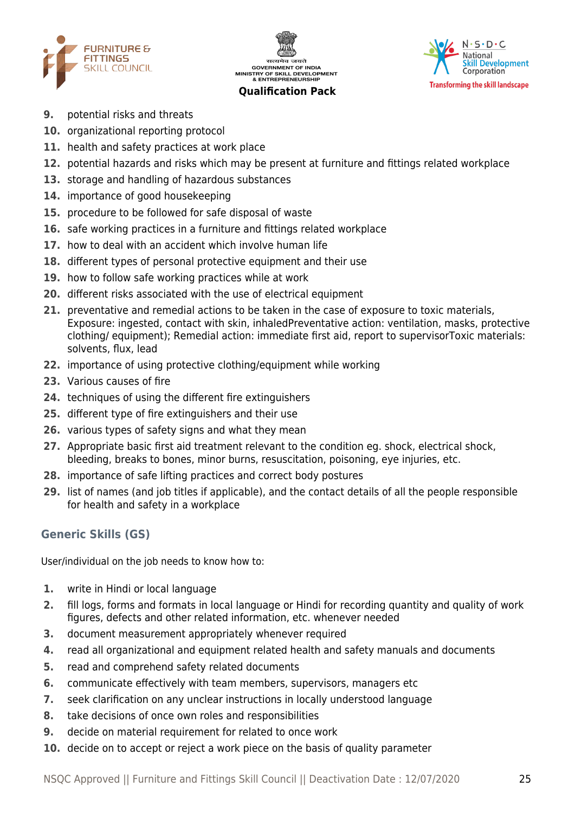





- **9.** potential risks and threats
- **10.** organizational reporting protocol
- **11.** health and safety practices at work place
- **12.** potential hazards and risks which may be present at furniture and fittings related workplace
- **13.** storage and handling of hazardous substances
- **14.** importance of good housekeeping
- **15.** procedure to be followed for safe disposal of waste
- **16.** safe working practices in a furniture and fittings related workplace
- **17.** how to deal with an accident which involve human life
- **18.** different types of personal protective equipment and their use
- **19.** how to follow safe working practices while at work
- **20.** different risks associated with the use of electrical equipment
- **21.** preventative and remedial actions to be taken in the case of exposure to toxic materials, Exposure: ingested, contact with skin, inhaledPreventative action: ventilation, masks, protective clothing/ equipment); Remedial action: immediate first aid, report to supervisorToxic materials: solvents, flux, lead
- **22.** importance of using protective clothing/equipment while working
- **23.** Various causes of fire
- **24.** techniques of using the different fire extinguishers
- **25.** different type of fire extinguishers and their use
- **26.** various types of safety signs and what they mean
- **27.** Appropriate basic first aid treatment relevant to the condition eg. shock, electrical shock, bleeding, breaks to bones, minor burns, resuscitation, poisoning, eye injuries, etc.
- **28.** importance of safe lifting practices and correct body postures
- **29.** list of names (and job titles if applicable), and the contact details of all the people responsible for health and safety in a workplace

# **Generic Skills (GS)**

User/individual on the job needs to know how to:

- **1.** write in Hindi or local language
- **2.** fill logs, forms and formats in local language or Hindi for recording quantity and quality of work figures, defects and other related information, etc. whenever needed
- **3.** document measurement appropriately whenever required
- **4.** read all organizational and equipment related health and safety manuals and documents
- **5.** read and comprehend safety related documents
- **6.** communicate effectively with team members, supervisors, managers etc
- **7.** seek clarification on any unclear instructions in locally understood language
- **8.** take decisions of once own roles and responsibilities
- **9.** decide on material requirement for related to once work
- **10.** decide on to accept or reject a work piece on the basis of quality parameter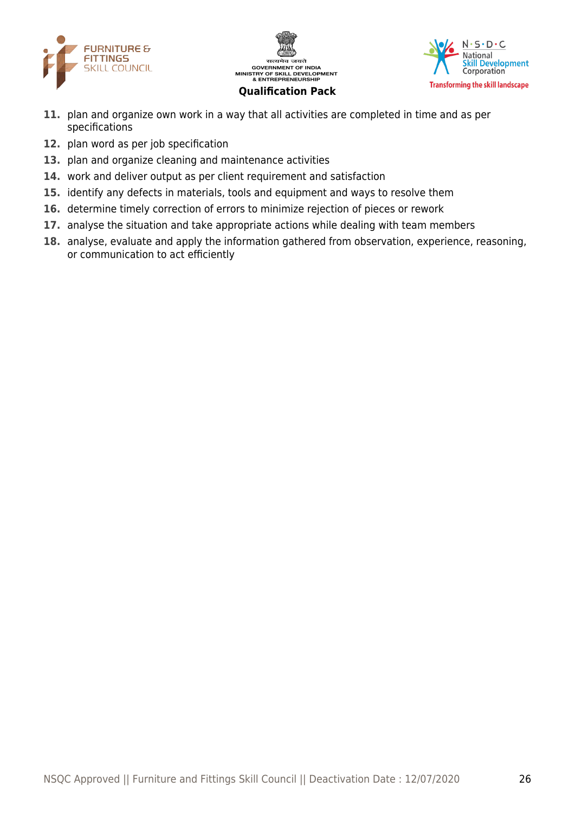





- **11.** plan and organize own work in a way that all activities are completed in time and as per specifications
- **12.** plan word as per job specification
- **13.** plan and organize cleaning and maintenance activities
- **14.** work and deliver output as per client requirement and satisfaction
- **15.** identify any defects in materials, tools and equipment and ways to resolve them
- **16.** determine timely correction of errors to minimize rejection of pieces or rework
- **17.** analyse the situation and take appropriate actions while dealing with team members
- **18.** analyse, evaluate and apply the information gathered from observation, experience, reasoning, or communication to act efficiently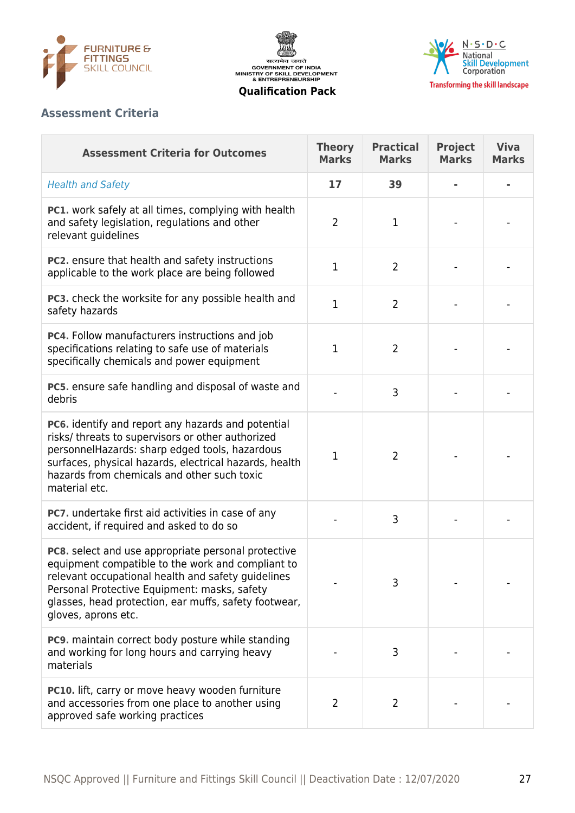





# **Assessment Criteria**

| <b>Assessment Criteria for Outcomes</b>                                                                                                                                                                                                                                                        | <b>Theory</b><br><b>Marks</b> | <b>Practical</b><br><b>Marks</b> | <b>Project</b><br><b>Marks</b> | <b>Viva</b><br><b>Marks</b> |
|------------------------------------------------------------------------------------------------------------------------------------------------------------------------------------------------------------------------------------------------------------------------------------------------|-------------------------------|----------------------------------|--------------------------------|-----------------------------|
| <b>Health and Safety</b>                                                                                                                                                                                                                                                                       | 17                            | 39                               |                                |                             |
| <b>PC1.</b> work safely at all times, complying with health<br>and safety legislation, regulations and other<br>relevant guidelines                                                                                                                                                            | $\overline{2}$                | $\mathbf 1$                      |                                |                             |
| PC2. ensure that health and safety instructions<br>applicable to the work place are being followed                                                                                                                                                                                             | $\mathbf{1}$                  | $\overline{2}$                   |                                |                             |
| PC3. check the worksite for any possible health and<br>safety hazards                                                                                                                                                                                                                          | 1                             | $\overline{2}$                   |                                |                             |
| PC4. Follow manufacturers instructions and job<br>specifications relating to safe use of materials<br>specifically chemicals and power equipment                                                                                                                                               | $\mathbf{1}$                  | $\overline{2}$                   |                                |                             |
| PC5. ensure safe handling and disposal of waste and<br>debris                                                                                                                                                                                                                                  |                               | 3                                |                                |                             |
| PC6. identify and report any hazards and potential<br>risks/ threats to supervisors or other authorized<br>personnelHazards: sharp edged tools, hazardous<br>surfaces, physical hazards, electrical hazards, health<br>hazards from chemicals and other such toxic<br>material etc.            | $\mathbf 1$                   | $\overline{2}$                   |                                |                             |
| PC7. undertake first aid activities in case of any<br>accident, if required and asked to do so                                                                                                                                                                                                 |                               | 3                                |                                |                             |
| PC8. select and use appropriate personal protective<br>equipment compatible to the work and compliant to<br>relevant occupational health and safety guidelines<br>Personal Protective Equipment: masks, safety<br>glasses, head protection, ear muffs, safety footwear,<br>gloves, aprons etc. |                               | 3                                |                                |                             |
| PC9. maintain correct body posture while standing<br>and working for long hours and carrying heavy<br>materials                                                                                                                                                                                |                               | 3                                |                                |                             |
| PC10. lift, carry or move heavy wooden furniture<br>and accessories from one place to another using<br>approved safe working practices                                                                                                                                                         | $\overline{2}$                | 2                                |                                |                             |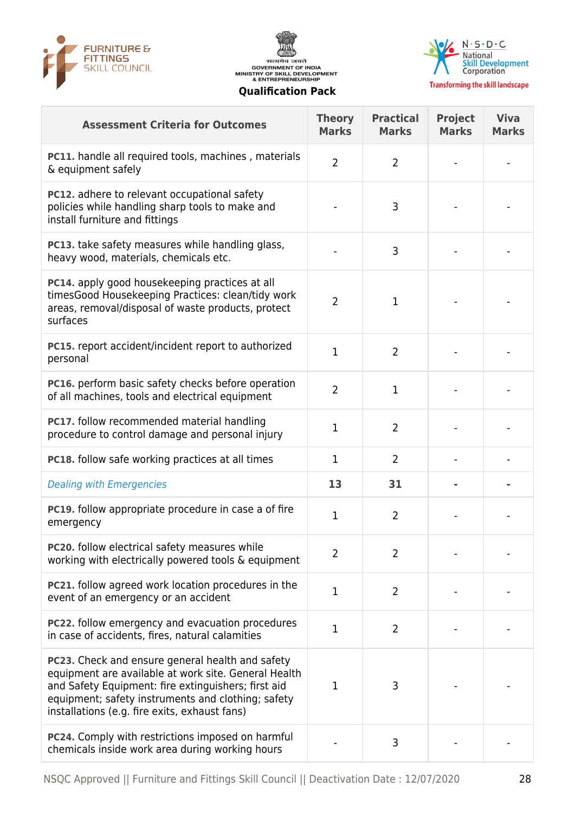





| <b>Assessment Criteria for Outcomes</b>                                                                                                                                                                                                                                       | <b>Theory</b><br><b>Marks</b> | <b>Practical</b><br><b>Marks</b> | <b>Project</b><br><b>Marks</b> | <b>Viva</b><br><b>Marks</b> |
|-------------------------------------------------------------------------------------------------------------------------------------------------------------------------------------------------------------------------------------------------------------------------------|-------------------------------|----------------------------------|--------------------------------|-----------------------------|
| <b>PC11.</b> handle all required tools, machines, materials<br>& equipment safely                                                                                                                                                                                             | $\overline{2}$                | $\overline{2}$                   |                                |                             |
| <b>PC12.</b> adhere to relevant occupational safety<br>policies while handling sharp tools to make and<br>install furniture and fittings                                                                                                                                      |                               | 3                                |                                |                             |
| <b>PC13.</b> take safety measures while handling glass,<br>heavy wood, materials, chemicals etc.                                                                                                                                                                              |                               | 3                                |                                |                             |
| PC14. apply good housekeeping practices at all<br>timesGood Housekeeping Practices: clean/tidy work<br>areas, removal/disposal of waste products, protect<br>surfaces                                                                                                         | $\overline{2}$                | 1                                |                                |                             |
| PC15. report accident/incident report to authorized<br>personal                                                                                                                                                                                                               | 1                             | $\overline{2}$                   |                                |                             |
| PC16. perform basic safety checks before operation<br>of all machines, tools and electrical equipment                                                                                                                                                                         | $\overline{2}$                | $\mathbf{1}$                     |                                |                             |
| PC17. follow recommended material handling<br>procedure to control damage and personal injury                                                                                                                                                                                 | 1                             | $\overline{2}$                   |                                |                             |
| <b>PC18.</b> follow safe working practices at all times                                                                                                                                                                                                                       | $\mathbf 1$                   | $\overline{2}$                   |                                |                             |
| <b>Dealing with Emergencies</b>                                                                                                                                                                                                                                               | 13                            | 31                               |                                |                             |
| PC19. follow appropriate procedure in case a of fire<br>emergency                                                                                                                                                                                                             | 1                             | $\overline{2}$                   |                                |                             |
| <b>PC20.</b> follow electrical safety measures while<br>working with electrically powered tools & equipment                                                                                                                                                                   | 2                             | 2                                |                                |                             |
| <b>PC21.</b> follow agreed work location procedures in the<br>event of an emergency or an accident                                                                                                                                                                            | $\mathbf 1$                   | $\overline{2}$                   |                                |                             |
| <b>PC22.</b> follow emergency and evacuation procedures<br>in case of accidents, fires, natural calamities                                                                                                                                                                    | $\mathbf 1$                   | $\overline{2}$                   |                                |                             |
| <b>PC23.</b> Check and ensure general health and safety<br>equipment are available at work site. General Health<br>and Safety Equipment: fire extinguishers; first aid<br>equipment; safety instruments and clothing; safety<br>installations (e.g. fire exits, exhaust fans) | $\mathbf 1$                   | 3                                |                                |                             |
| PC24. Comply with restrictions imposed on harmful<br>chemicals inside work area during working hours                                                                                                                                                                          |                               | 3                                |                                |                             |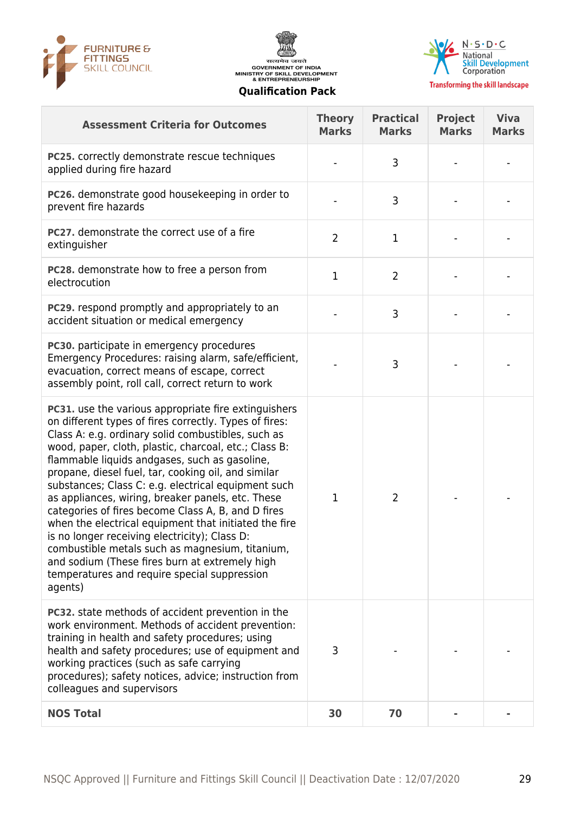





| <b>Assessment Criteria for Outcomes</b>                                                                                                                                                                                                                                                                                                                                                                                                                                                                                                                                                                                                                                                                                                                                                  | <b>Theory</b><br><b>Marks</b> | <b>Practical</b><br><b>Marks</b> | <b>Project</b><br><b>Marks</b> | <b>Viva</b><br><b>Marks</b> |
|------------------------------------------------------------------------------------------------------------------------------------------------------------------------------------------------------------------------------------------------------------------------------------------------------------------------------------------------------------------------------------------------------------------------------------------------------------------------------------------------------------------------------------------------------------------------------------------------------------------------------------------------------------------------------------------------------------------------------------------------------------------------------------------|-------------------------------|----------------------------------|--------------------------------|-----------------------------|
| PC25. correctly demonstrate rescue techniques<br>applied during fire hazard                                                                                                                                                                                                                                                                                                                                                                                                                                                                                                                                                                                                                                                                                                              |                               | 3                                |                                |                             |
| PC26. demonstrate good housekeeping in order to<br>prevent fire hazards                                                                                                                                                                                                                                                                                                                                                                                                                                                                                                                                                                                                                                                                                                                  |                               | 3                                |                                |                             |
| PC27. demonstrate the correct use of a fire<br>extinguisher                                                                                                                                                                                                                                                                                                                                                                                                                                                                                                                                                                                                                                                                                                                              | $\overline{2}$                | 1                                |                                |                             |
| PC28. demonstrate how to free a person from<br>electrocution                                                                                                                                                                                                                                                                                                                                                                                                                                                                                                                                                                                                                                                                                                                             | $\mathbf{1}$                  | $\overline{2}$                   |                                |                             |
| <b>PC29.</b> respond promptly and appropriately to an<br>accident situation or medical emergency                                                                                                                                                                                                                                                                                                                                                                                                                                                                                                                                                                                                                                                                                         |                               | 3                                |                                |                             |
| <b>PC30.</b> participate in emergency procedures<br>Emergency Procedures: raising alarm, safe/efficient,<br>evacuation, correct means of escape, correct<br>assembly point, roll call, correct return to work                                                                                                                                                                                                                                                                                                                                                                                                                                                                                                                                                                            |                               | 3                                |                                |                             |
| <b>PC31.</b> use the various appropriate fire extinguishers<br>on different types of fires correctly. Types of fires:<br>Class A: e.g. ordinary solid combustibles, such as<br>wood, paper, cloth, plastic, charcoal, etc.; Class B:<br>flammable liquids andgases, such as gasoline,<br>propane, diesel fuel, tar, cooking oil, and similar<br>substances; Class C: e.g. electrical equipment such<br>as appliances, wiring, breaker panels, etc. These<br>categories of fires become Class A, B, and D fires<br>when the electrical equipment that initiated the fire<br>is no longer receiving electricity); Class D:<br>combustible metals such as magnesium, titanium,<br>and sodium (These fires burn at extremely high<br>temperatures and require special suppression<br>agents) | 1                             | 2                                |                                |                             |
| <b>PC32.</b> state methods of accident prevention in the<br>work environment. Methods of accident prevention:<br>training in health and safety procedures; using<br>health and safety procedures; use of equipment and<br>working practices (such as safe carrying<br>procedures); safety notices, advice; instruction from<br>colleagues and supervisors                                                                                                                                                                                                                                                                                                                                                                                                                                | 3                             |                                  |                                |                             |
| <b>NOS Total</b>                                                                                                                                                                                                                                                                                                                                                                                                                                                                                                                                                                                                                                                                                                                                                                         | 30                            | 70                               |                                |                             |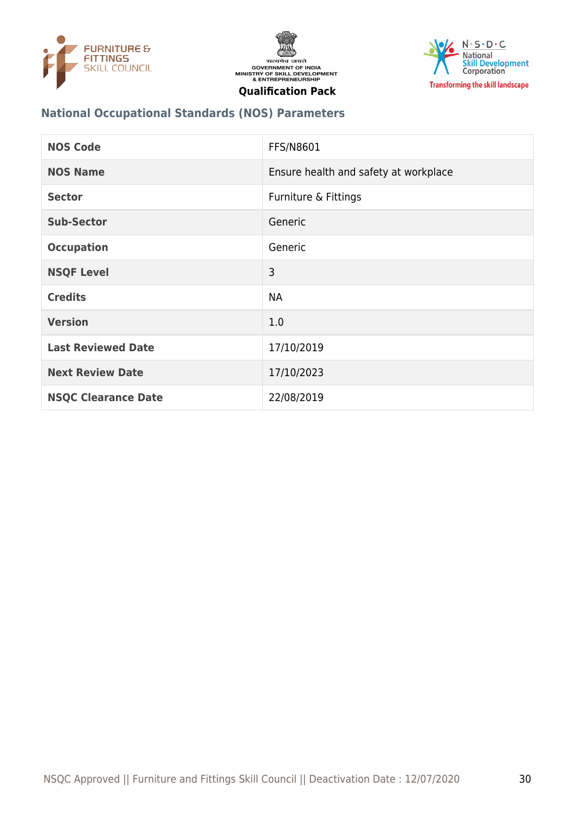





## **National Occupational Standards (NOS) Parameters**

| <b>NOS Code</b>            | <b>FFS/N8601</b>                      |
|----------------------------|---------------------------------------|
| <b>NOS Name</b>            | Ensure health and safety at workplace |
| <b>Sector</b>              | Furniture & Fittings                  |
| <b>Sub-Sector</b>          | Generic                               |
| <b>Occupation</b>          | Generic                               |
| <b>NSQF Level</b>          | 3                                     |
| <b>Credits</b>             | <b>NA</b>                             |
| <b>Version</b>             | 1.0                                   |
| <b>Last Reviewed Date</b>  | 17/10/2019                            |
| <b>Next Review Date</b>    | 17/10/2023                            |
| <b>NSQC Clearance Date</b> | 22/08/2019                            |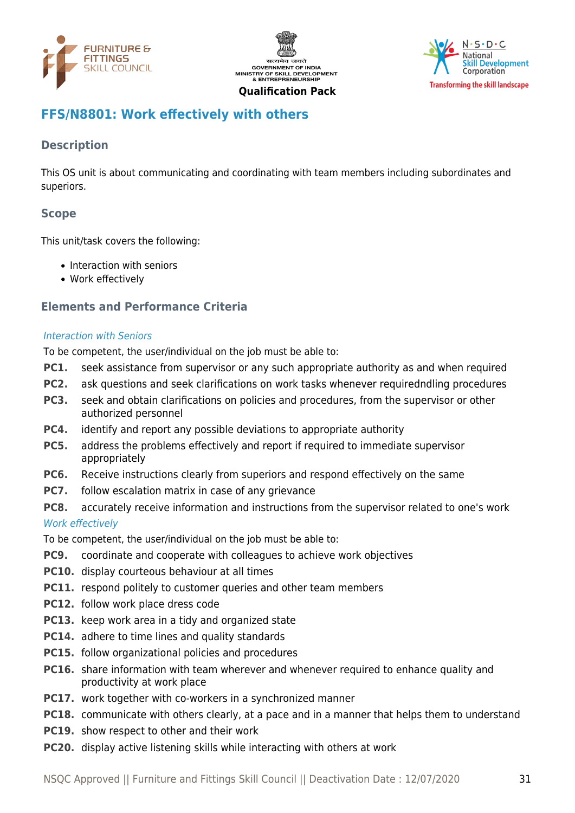





# <span id="page-30-0"></span>**FFS/N8801: Work effectively with others**

# **Description**

This OS unit is about communicating and coordinating with team members including subordinates and superiors.

# **Scope**

This unit/task covers the following:

- Interaction with seniors
- Work effectively

#### **Elements and Performance Criteria**

#### Interaction with Seniors

To be competent, the user/individual on the job must be able to:

- **PC1.** seek assistance from supervisor or any such appropriate authority as and when required
- **PC2.** ask questions and seek clarifications on work tasks whenever requiredndling procedures
- **PC3.** seek and obtain clarifications on policies and procedures, from the supervisor or other authorized personnel
- **PC4.** identify and report any possible deviations to appropriate authority
- **PC5.** address the problems effectively and report if required to immediate supervisor appropriately
- **PC6.** Receive instructions clearly from superiors and respond effectively on the same
- **PC7.** follow escalation matrix in case of any grievance
- **PC8.** accurately receive information and instructions from the supervisor related to one's work

#### Work effectively

To be competent, the user/individual on the job must be able to:

- **PC9.** coordinate and cooperate with colleagues to achieve work objectives
- **PC10.** display courteous behaviour at all times
- **PC11.** respond politely to customer queries and other team members
- **PC12.** follow work place dress code
- **PC13.** keep work area in a tidy and organized state
- **PC14.** adhere to time lines and quality standards
- **PC15.** follow organizational policies and procedures
- **PC16.** share information with team wherever and whenever required to enhance quality and productivity at work place
- **PC17.** work together with co-workers in a synchronized manner
- **PC18.** communicate with others clearly, at a pace and in a manner that helps them to understand
- **PC19.** show respect to other and their work
- **PC20.** display active listening skills while interacting with others at work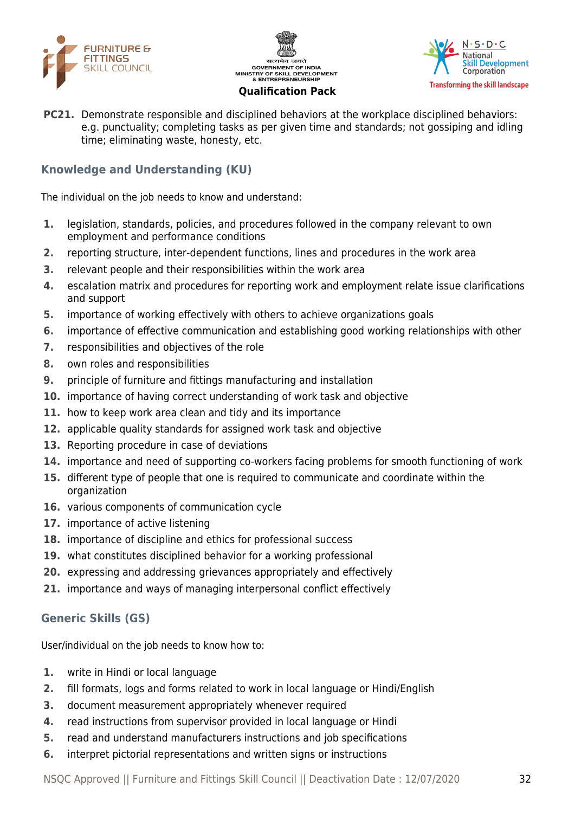





**PC21.** Demonstrate responsible and disciplined behaviors at the workplace disciplined behaviors: e.g. punctuality; completing tasks as per given time and standards; not gossiping and idling time; eliminating waste, honesty, etc.

# **Knowledge and Understanding (KU)**

The individual on the job needs to know and understand:

- **1.** legislation, standards, policies, and procedures followed in the company relevant to own employment and performance conditions
- **2.** reporting structure, inter-dependent functions, lines and procedures in the work area
- **3.** relevant people and their responsibilities within the work area
- **4.** escalation matrix and procedures for reporting work and employment relate issue clarifications and support
- **5.** importance of working effectively with others to achieve organizations goals
- **6.** importance of effective communication and establishing good working relationships with other
- **7.** responsibilities and objectives of the role
- **8.** own roles and responsibilities
- **9.** principle of furniture and fittings manufacturing and installation
- **10.** importance of having correct understanding of work task and objective
- **11.** how to keep work area clean and tidy and its importance
- **12.** applicable quality standards for assigned work task and objective
- **13.** Reporting procedure in case of deviations
- **14.** importance and need of supporting co-workers facing problems for smooth functioning of work
- **15.** different type of people that one is required to communicate and coordinate within the organization
- **16.** various components of communication cycle
- **17.** importance of active listening
- **18.** importance of discipline and ethics for professional success
- **19.** what constitutes disciplined behavior for a working professional
- **20.** expressing and addressing grievances appropriately and effectively
- **21.** importance and ways of managing interpersonal conflict effectively

# **Generic Skills (GS)**

User/individual on the job needs to know how to:

- **1.** write in Hindi or local language
- **2.** fill formats, logs and forms related to work in local language or Hindi/English
- **3.** document measurement appropriately whenever required
- **4.** read instructions from supervisor provided in local language or Hindi
- **5.** read and understand manufacturers instructions and job specifications
- **6.** interpret pictorial representations and written signs or instructions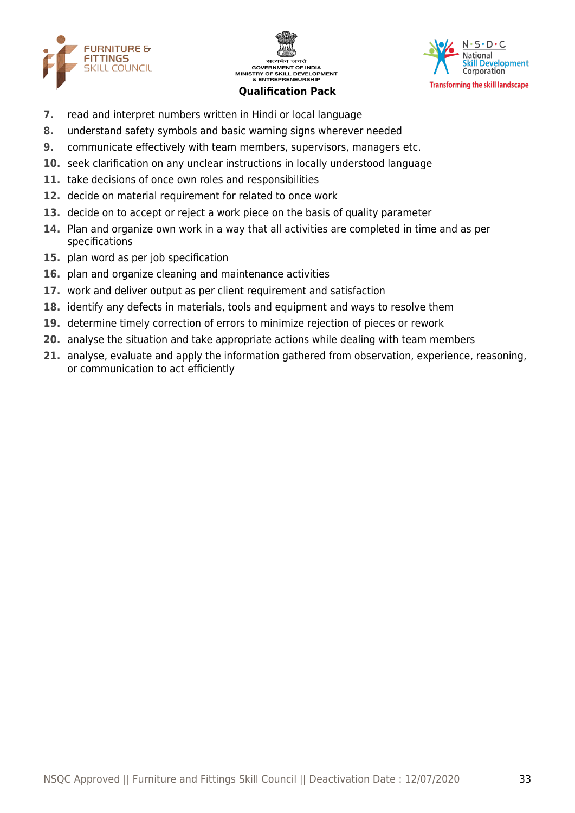





- **7.** read and interpret numbers written in Hindi or local language
- **8.** understand safety symbols and basic warning signs wherever needed
- **9.** communicate effectively with team members, supervisors, managers etc.
- **10.** seek clarification on any unclear instructions in locally understood language
- **11.** take decisions of once own roles and responsibilities
- **12.** decide on material requirement for related to once work
- **13.** decide on to accept or reject a work piece on the basis of quality parameter
- **14.** Plan and organize own work in a way that all activities are completed in time and as per specifications
- **15.** plan word as per job specification
- **16.** plan and organize cleaning and maintenance activities
- **17.** work and deliver output as per client requirement and satisfaction
- **18.** identify any defects in materials, tools and equipment and ways to resolve them
- **19.** determine timely correction of errors to minimize rejection of pieces or rework
- **20.** analyse the situation and take appropriate actions while dealing with team members
- **21.** analyse, evaluate and apply the information gathered from observation, experience, reasoning, or communication to act efficiently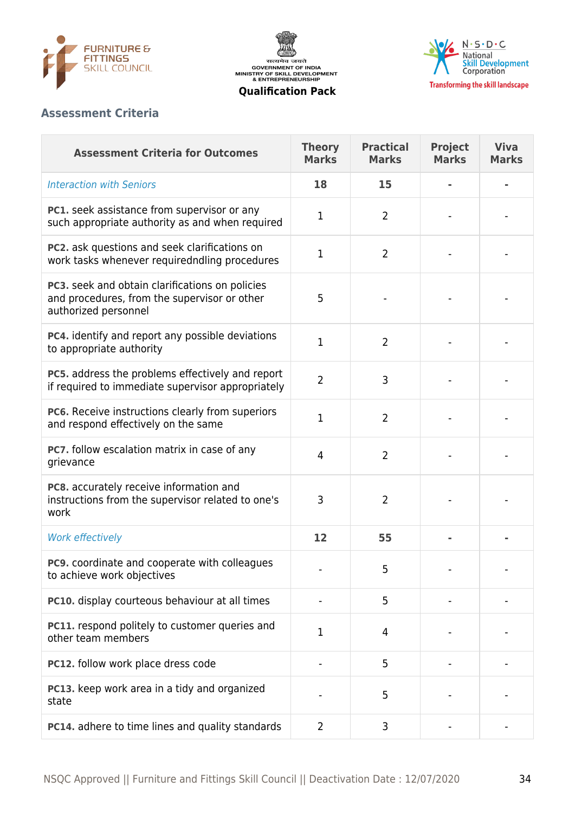

सत्यमेव जयते<br>GOVERNMENT OF INDIA<br>MINISTRY OF SKILL DEVELOPMENT<br>& ENTREPRENEURSHIP



**Qualification Pack**

# **Assessment Criteria**

| <b>Assessment Criteria for Outcomes</b>                                                                                 | <b>Theory</b><br><b>Marks</b> | <b>Practical</b><br><b>Marks</b> | <b>Project</b><br><b>Marks</b> | <b>Viva</b><br><b>Marks</b> |
|-------------------------------------------------------------------------------------------------------------------------|-------------------------------|----------------------------------|--------------------------------|-----------------------------|
| <b>Interaction with Seniors</b>                                                                                         | 18                            | 15                               |                                |                             |
| <b>PC1.</b> seek assistance from supervisor or any<br>such appropriate authority as and when required                   | 1                             | 2                                |                                |                             |
| PC2. ask questions and seek clarifications on<br>work tasks whenever requiredndling procedures                          | 1                             | $\overline{2}$                   |                                |                             |
| PC3. seek and obtain clarifications on policies<br>and procedures, from the supervisor or other<br>authorized personnel | 5                             |                                  |                                |                             |
| PC4. identify and report any possible deviations<br>to appropriate authority                                            | 1                             | $\overline{2}$                   |                                |                             |
| PC5. address the problems effectively and report<br>if required to immediate supervisor appropriately                   | $\overline{2}$                | 3                                |                                |                             |
| PC6. Receive instructions clearly from superiors<br>and respond effectively on the same                                 | 1                             | $\overline{2}$                   |                                |                             |
| PC7. follow escalation matrix in case of any<br>grievance                                                               | $\overline{4}$                | $\overline{2}$                   |                                |                             |
| PC8. accurately receive information and<br>instructions from the supervisor related to one's<br>work                    | 3                             | $\overline{2}$                   |                                |                             |
| Work effectively                                                                                                        | 12                            | 55                               |                                |                             |
| <b>PC9.</b> coordinate and cooperate with colleagues<br>to achieve work objectives                                      |                               | 5                                |                                |                             |
| PC10. display courteous behaviour at all times                                                                          |                               | 5                                |                                |                             |
| PC11. respond politely to customer queries and<br>other team members                                                    | 1                             | 4                                |                                |                             |
| PC12. follow work place dress code                                                                                      |                               | 5                                |                                |                             |
| PC13. keep work area in a tidy and organized<br>state                                                                   |                               | 5                                |                                |                             |
| PC14. adhere to time lines and quality standards                                                                        | $\overline{2}$                | 3                                |                                |                             |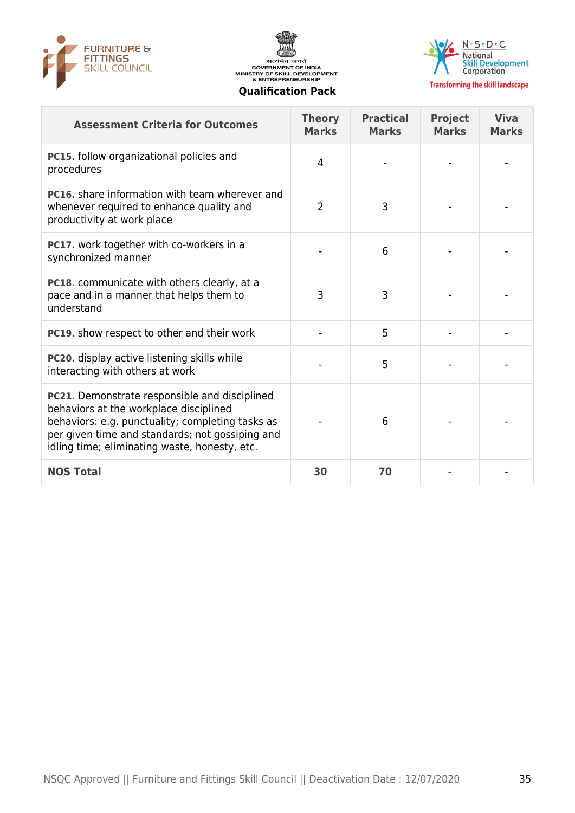





**Transforming the skill landscape** 

| <b>Assessment Criteria for Outcomes</b>                                                                                                                                                                                                         | <b>Theory</b><br><b>Marks</b> | <b>Practical</b><br><b>Marks</b> | <b>Project</b><br><b>Marks</b> | <b>Viva</b><br><b>Marks</b> |
|-------------------------------------------------------------------------------------------------------------------------------------------------------------------------------------------------------------------------------------------------|-------------------------------|----------------------------------|--------------------------------|-----------------------------|
| PC15. follow organizational policies and<br>procedures                                                                                                                                                                                          | 4                             |                                  |                                |                             |
| <b>PC16.</b> share information with team wherever and<br>whenever required to enhance quality and<br>productivity at work place                                                                                                                 | $\overline{2}$                | 3                                |                                |                             |
| PC17. work together with co-workers in a<br>synchronized manner                                                                                                                                                                                 |                               | 6                                |                                |                             |
| PC18. communicate with others clearly, at a<br>pace and in a manner that helps them to<br>understand                                                                                                                                            | 3                             | 3                                |                                |                             |
| PC19. show respect to other and their work                                                                                                                                                                                                      |                               | 5                                |                                |                             |
| PC20. display active listening skills while<br>interacting with others at work                                                                                                                                                                  |                               | 5                                |                                |                             |
| PC21. Demonstrate responsible and disciplined<br>behaviors at the workplace disciplined<br>behaviors: e.g. punctuality; completing tasks as<br>per given time and standards; not gossiping and<br>idling time; eliminating waste, honesty, etc. |                               | 6                                |                                |                             |
| <b>NOS Total</b>                                                                                                                                                                                                                                | 30                            | 70                               |                                |                             |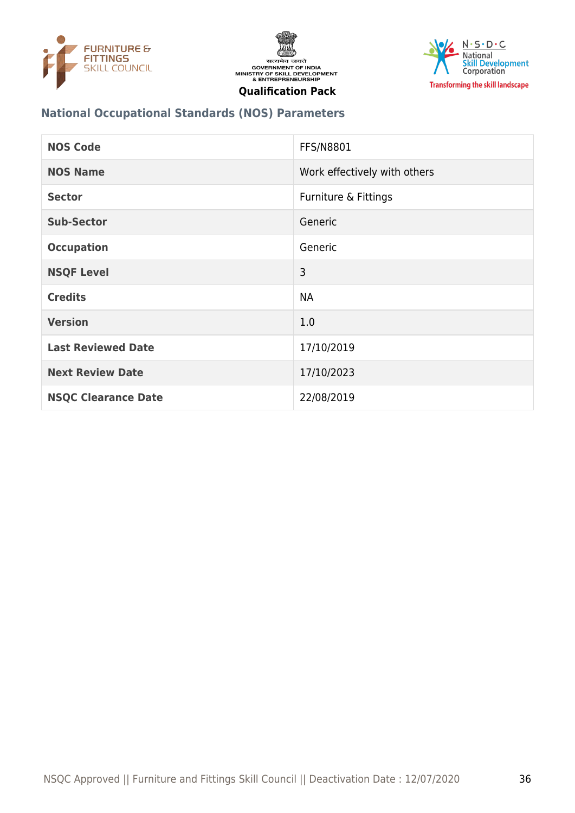





## **National Occupational Standards (NOS) Parameters**

| <b>NOS Code</b>            | <b>FFS/N8801</b>             |
|----------------------------|------------------------------|
| <b>NOS Name</b>            | Work effectively with others |
| <b>Sector</b>              | Furniture & Fittings         |
| <b>Sub-Sector</b>          | Generic                      |
| <b>Occupation</b>          | Generic                      |
| <b>NSQF Level</b>          | 3                            |
| <b>Credits</b>             | <b>NA</b>                    |
| <b>Version</b>             | 1.0                          |
| <b>Last Reviewed Date</b>  | 17/10/2019                   |
| <b>Next Review Date</b>    | 17/10/2023                   |
| <b>NSQC Clearance Date</b> | 22/08/2019                   |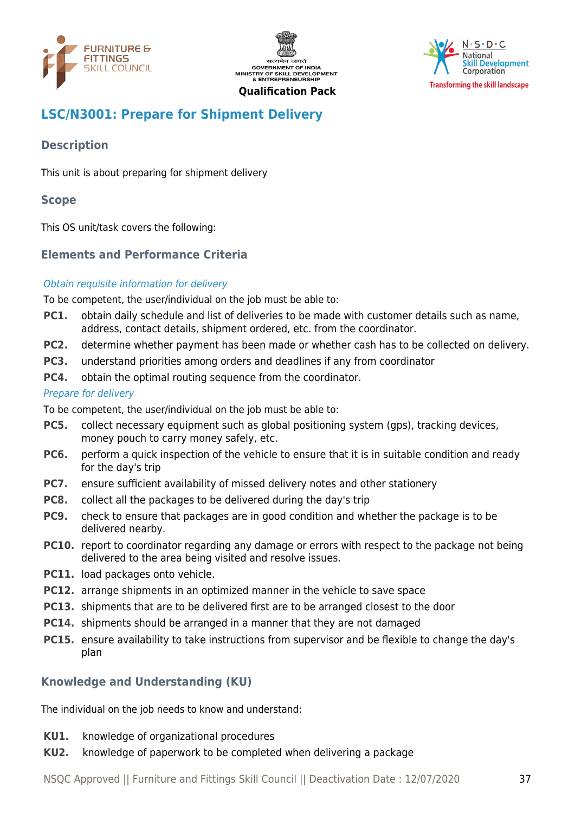





# <span id="page-36-0"></span>**LSC/N3001: Prepare for Shipment Delivery**

# **Description**

This unit is about preparing for shipment delivery

#### **Scope**

This OS unit/task covers the following:

# **Elements and Performance Criteria**

#### Obtain requisite information for delivery

To be competent, the user/individual on the job must be able to:

- **PC1.** obtain daily schedule and list of deliveries to be made with customer details such as name, address, contact details, shipment ordered, etc. from the coordinator.
- **PC2.** determine whether payment has been made or whether cash has to be collected on delivery.
- **PC3.** understand priorities among orders and deadlines if any from coordinator
- **PC4.** obtain the optimal routing sequence from the coordinator.

#### Prepare for delivery

To be competent, the user/individual on the job must be able to:

- **PC5.** collect necessary equipment such as global positioning system (gps), tracking devices, money pouch to carry money safely, etc.
- **PC6.** perform a quick inspection of the vehicle to ensure that it is in suitable condition and ready for the day's trip
- **PC7.** ensure sufficient availability of missed delivery notes and other stationery
- **PC8.** collect all the packages to be delivered during the day's trip
- **PC9.** check to ensure that packages are in good condition and whether the package is to be delivered nearby.
- **PC10.** report to coordinator regarding any damage or errors with respect to the package not being delivered to the area being visited and resolve issues.
- **PC11.** load packages onto vehicle.
- **PC12.** arrange shipments in an optimized manner in the vehicle to save space
- **PC13.** shipments that are to be delivered first are to be arranged closest to the door
- **PC14.** shipments should be arranged in a manner that they are not damaged
- **PC15.** ensure availability to take instructions from supervisor and be flexible to change the day's plan

#### **Knowledge and Understanding (KU)**

The individual on the job needs to know and understand:

- **KU1.** knowledge of organizational procedures
- **KU2.** knowledge of paperwork to be completed when delivering a package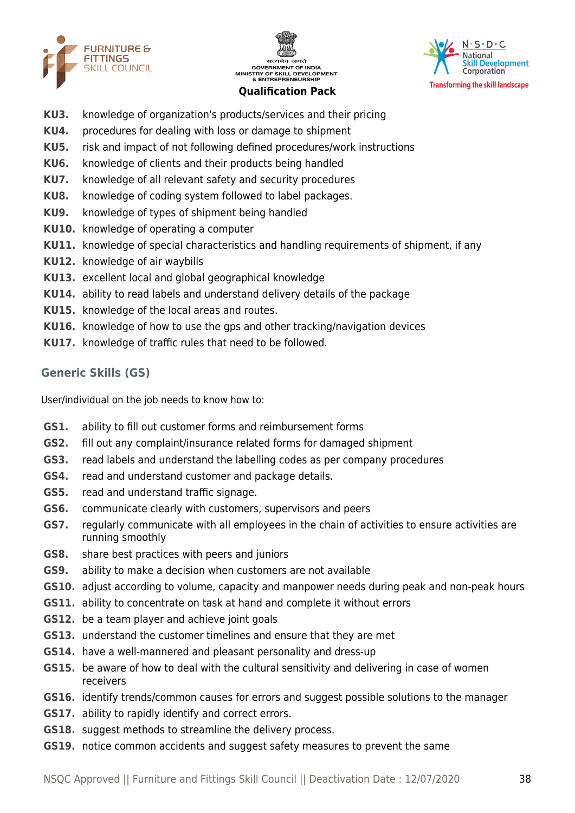





- **KU3.** knowledge of organization's products/services and their pricing
- **KU4.** procedures for dealing with loss or damage to shipment
- **KU5.** risk and impact of not following defined procedures/work instructions
- **KU6.** knowledge of clients and their products being handled
- **KU7.** knowledge of all relevant safety and security procedures
- **KU8.** knowledge of coding system followed to label packages.
- **KU9.** knowledge of types of shipment being handled
- **KU10.** knowledge of operating a computer
- **KU11.** knowledge of special characteristics and handling requirements of shipment, if any
- **KU12.** knowledge of air waybills
- **KU13.** excellent local and global geographical knowledge
- **KU14.** ability to read labels and understand delivery details of the package
- **KU15.** knowledge of the local areas and routes.
- **KU16.** knowledge of how to use the gps and other tracking/navigation devices
- **KU17.** knowledge of traffic rules that need to be followed.

# **Generic Skills (GS)**

User/individual on the job needs to know how to:

- **GS1.** ability to fill out customer forms and reimbursement forms
- **GS2.** fill out any complaint/insurance related forms for damaged shipment
- **GS3.** read labels and understand the labelling codes as per company procedures
- **GS4.** read and understand customer and package details.
- **GS5.** read and understand traffic signage.
- **GS6.** communicate clearly with customers, supervisors and peers
- **GS7.** regularly communicate with all employees in the chain of activities to ensure activities are running smoothly
- **GS8.** share best practices with peers and juniors
- **GS9.** ability to make a decision when customers are not available
- **GS10.** adjust according to volume, capacity and manpower needs during peak and non-peak hours
- **GS11.** ability to concentrate on task at hand and complete it without errors
- **GS12.** be a team player and achieve joint goals
- **GS13.** understand the customer timelines and ensure that they are met
- **GS14.** have a well-mannered and pleasant personality and dress-up
- **GS15.** be aware of how to deal with the cultural sensitivity and delivering in case of women receivers
- **GS16.** identify trends/common causes for errors and suggest possible solutions to the manager
- **GS17.** ability to rapidly identify and correct errors.
- **GS18.** suggest methods to streamline the delivery process.
- **GS19.** notice common accidents and suggest safety measures to prevent the same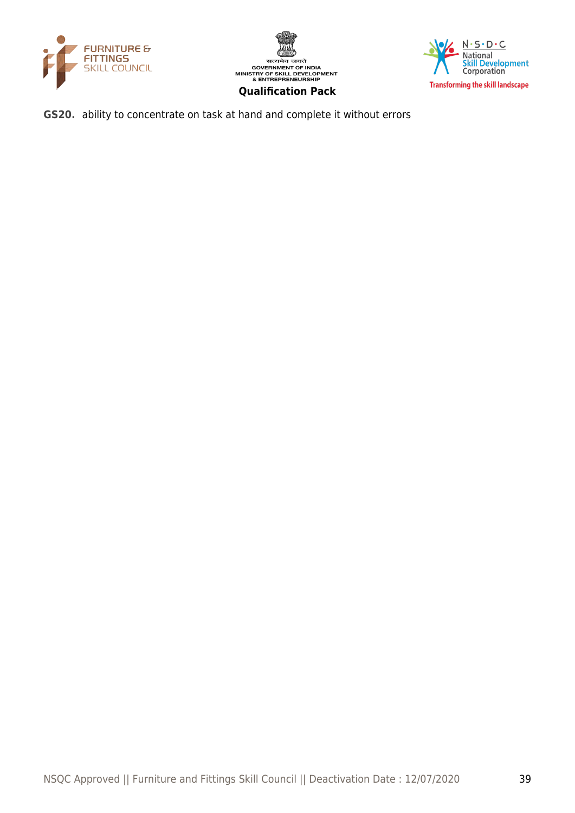





**GS20.** ability to concentrate on task at hand and complete it without errors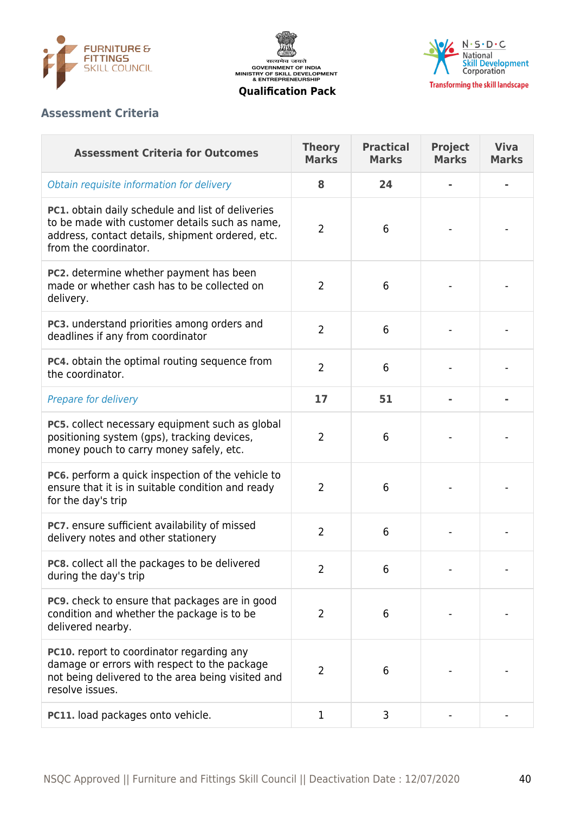





# **Assessment Criteria**

| <b>Assessment Criteria for Outcomes</b>                                                                                                                                          | <b>Theory</b><br><b>Marks</b> | <b>Practical</b><br><b>Marks</b> | <b>Project</b><br><b>Marks</b> | <b>Viva</b><br><b>Marks</b> |
|----------------------------------------------------------------------------------------------------------------------------------------------------------------------------------|-------------------------------|----------------------------------|--------------------------------|-----------------------------|
| Obtain requisite information for delivery                                                                                                                                        | 8                             | 24                               |                                |                             |
| PC1. obtain daily schedule and list of deliveries<br>to be made with customer details such as name,<br>address, contact details, shipment ordered, etc.<br>from the coordinator. | $\overline{2}$                | 6                                |                                |                             |
| PC2. determine whether payment has been<br>made or whether cash has to be collected on<br>delivery.                                                                              | $\overline{2}$                | 6                                |                                |                             |
| PC3. understand priorities among orders and<br>deadlines if any from coordinator                                                                                                 | $\overline{2}$                | 6                                |                                |                             |
| PC4. obtain the optimal routing sequence from<br>the coordinator.                                                                                                                | $\overline{2}$                | 6                                |                                |                             |
| Prepare for delivery                                                                                                                                                             | 17                            | 51                               |                                |                             |
| PC5. collect necessary equipment such as global<br>positioning system (gps), tracking devices,<br>money pouch to carry money safely, etc.                                        | $\overline{2}$                | 6                                |                                |                             |
| <b>PC6.</b> perform a quick inspection of the vehicle to<br>ensure that it is in suitable condition and ready<br>for the day's trip                                              | 2                             | 6                                |                                |                             |
| PC7. ensure sufficient availability of missed<br>delivery notes and other stationery                                                                                             | $\overline{2}$                | 6                                |                                |                             |
| PC8. collect all the packages to be delivered<br>during the day's trip                                                                                                           | 2                             | 6                                |                                |                             |
| <b>PC9.</b> check to ensure that packages are in good<br>condition and whether the package is to be<br>delivered nearby.                                                         | $\overline{2}$                | 6                                |                                |                             |
| PC10. report to coordinator regarding any<br>damage or errors with respect to the package<br>not being delivered to the area being visited and<br>resolve issues.                | 2                             | 6                                |                                |                             |
| PC11. load packages onto vehicle.                                                                                                                                                | 1                             | 3                                |                                |                             |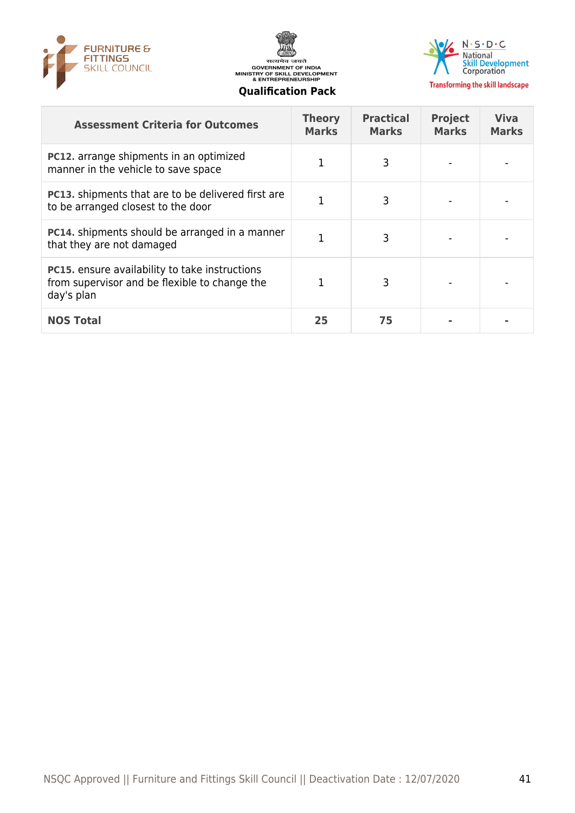





| <b>Assessment Criteria for Outcomes</b>                                                                              | <b>Theory</b><br><b>Marks</b> | <b>Practical</b><br><b>Marks</b> | <b>Project</b><br><b>Marks</b> | <b>Viva</b><br><b>Marks</b> |
|----------------------------------------------------------------------------------------------------------------------|-------------------------------|----------------------------------|--------------------------------|-----------------------------|
| <b>PC12.</b> arrange shipments in an optimized<br>manner in the vehicle to save space                                | 1                             | 3                                |                                |                             |
| <b>PC13.</b> shipments that are to be delivered first are<br>to be arranged closest to the door                      | 1                             | 3                                |                                |                             |
| <b>PC14.</b> shipments should be arranged in a manner<br>that they are not damaged                                   | 1                             | 3                                |                                |                             |
| <b>PC15.</b> ensure availability to take instructions<br>from supervisor and be flexible to change the<br>day's plan |                               | 3                                |                                |                             |
| <b>NOS Total</b>                                                                                                     | 25                            | 75                               |                                |                             |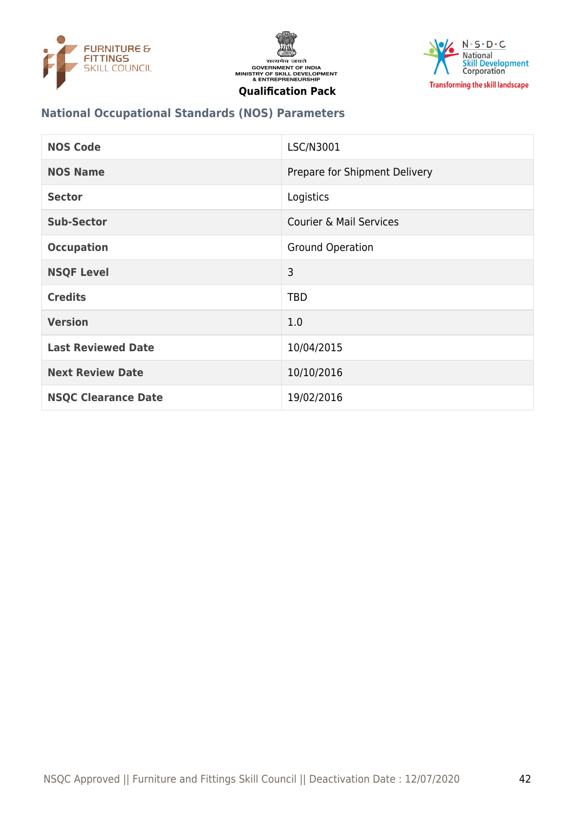





## **National Occupational Standards (NOS) Parameters**

| <b>NOS Code</b>            | LSC/N3001                          |
|----------------------------|------------------------------------|
| <b>NOS Name</b>            | Prepare for Shipment Delivery      |
| <b>Sector</b>              | Logistics                          |
| <b>Sub-Sector</b>          | <b>Courier &amp; Mail Services</b> |
| <b>Occupation</b>          | <b>Ground Operation</b>            |
| <b>NSQF Level</b>          | 3                                  |
| <b>Credits</b>             | <b>TBD</b>                         |
| <b>Version</b>             | 1.0                                |
| <b>Last Reviewed Date</b>  | 10/04/2015                         |
| <b>Next Review Date</b>    | 10/10/2016                         |
| <b>NSQC Clearance Date</b> | 19/02/2016                         |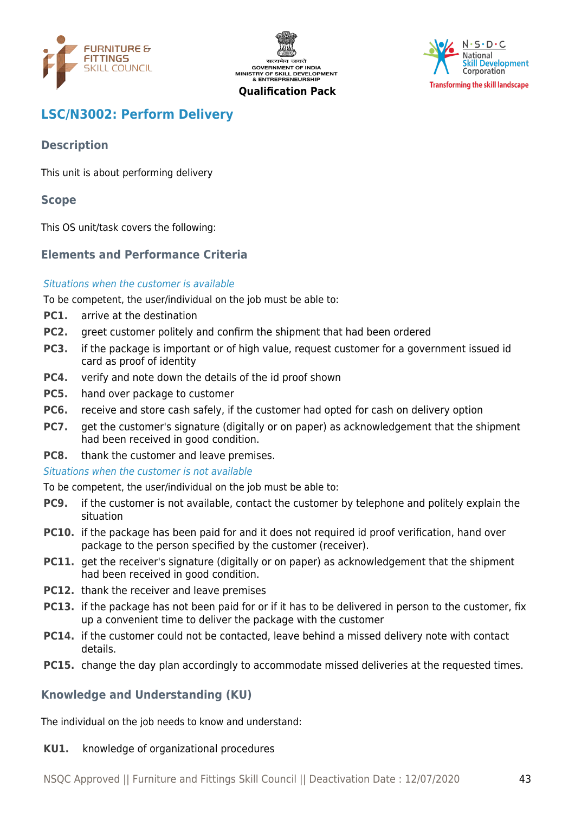





# <span id="page-42-0"></span>**LSC/N3002: Perform Delivery**

# **Description**

This unit is about performing delivery

# **Scope**

This OS unit/task covers the following:

# **Elements and Performance Criteria**

#### Situations when the customer is available

To be competent, the user/individual on the job must be able to:

- **PC1.** arrive at the destination
- **PC2.** greet customer politely and confirm the shipment that had been ordered
- **PC3.** if the package is important or of high value, request customer for a government issued id card as proof of identity
- **PC4.** verify and note down the details of the id proof shown
- **PC5.** hand over package to customer
- **PC6.** receive and store cash safely, if the customer had opted for cash on delivery option
- **PC7.** get the customer's signature (digitally or on paper) as acknowledgement that the shipment had been received in good condition.
- **PC8.** thank the customer and leave premises.
- Situations when the customer is not available

To be competent, the user/individual on the job must be able to:

- **PC9.** if the customer is not available, contact the customer by telephone and politely explain the situation
- **PC10.** if the package has been paid for and it does not required id proof verification, hand over package to the person specified by the customer (receiver).
- **PC11.** get the receiver's signature (digitally or on paper) as acknowledgement that the shipment had been received in good condition.
- **PC12.** thank the receiver and leave premises
- **PC13.** if the package has not been paid for or if it has to be delivered in person to the customer, fix up a convenient time to deliver the package with the customer
- **PC14.** if the customer could not be contacted, leave behind a missed delivery note with contact details.
- **PC15.** change the day plan accordingly to accommodate missed deliveries at the requested times.

# **Knowledge and Understanding (KU)**

The individual on the job needs to know and understand:

#### **KU1.** knowledge of organizational procedures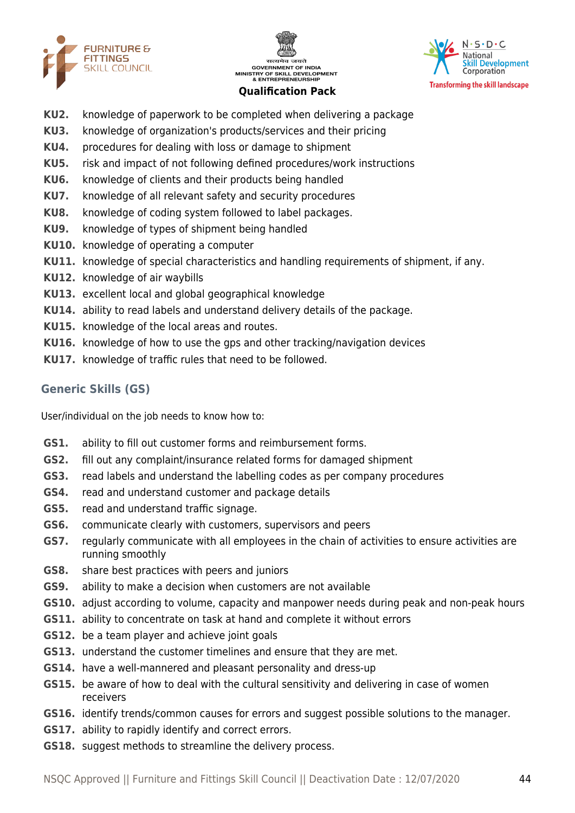





- **KU2.** knowledge of paperwork to be completed when delivering a package
- **KU3.** knowledge of organization's products/services and their pricing
- **KU4.** procedures for dealing with loss or damage to shipment
- **KU5.** risk and impact of not following defined procedures/work instructions
- **KU6.** knowledge of clients and their products being handled
- **KU7.** knowledge of all relevant safety and security procedures
- **KU8.** knowledge of coding system followed to label packages.
- **KU9.** knowledge of types of shipment being handled
- **KU10.** knowledge of operating a computer
- **KU11.** knowledge of special characteristics and handling requirements of shipment, if any.
- **KU12.** knowledge of air waybills
- **KU13.** excellent local and global geographical knowledge
- **KU14.** ability to read labels and understand delivery details of the package.
- **KU15.** knowledge of the local areas and routes.
- **KU16.** knowledge of how to use the gps and other tracking/navigation devices
- **KU17.** knowledge of traffic rules that need to be followed.

#### **Generic Skills (GS)**

User/individual on the job needs to know how to:

- **GS1.** ability to fill out customer forms and reimbursement forms.
- **GS2.** fill out any complaint/insurance related forms for damaged shipment
- **GS3.** read labels and understand the labelling codes as per company procedures
- **GS4.** read and understand customer and package details
- **GS5.** read and understand traffic signage.
- **GS6.** communicate clearly with customers, supervisors and peers
- **GS7.** regularly communicate with all employees in the chain of activities to ensure activities are running smoothly
- **GS8.** share best practices with peers and juniors
- **GS9.** ability to make a decision when customers are not available
- **GS10.** adjust according to volume, capacity and manpower needs during peak and non-peak hours
- **GS11.** ability to concentrate on task at hand and complete it without errors
- **GS12.** be a team player and achieve joint goals
- **GS13.** understand the customer timelines and ensure that they are met.
- **GS14.** have a well-mannered and pleasant personality and dress-up
- **GS15.** be aware of how to deal with the cultural sensitivity and delivering in case of women receivers
- **GS16.** identify trends/common causes for errors and suggest possible solutions to the manager.
- **GS17.** ability to rapidly identify and correct errors.
- **GS18.** suggest methods to streamline the delivery process.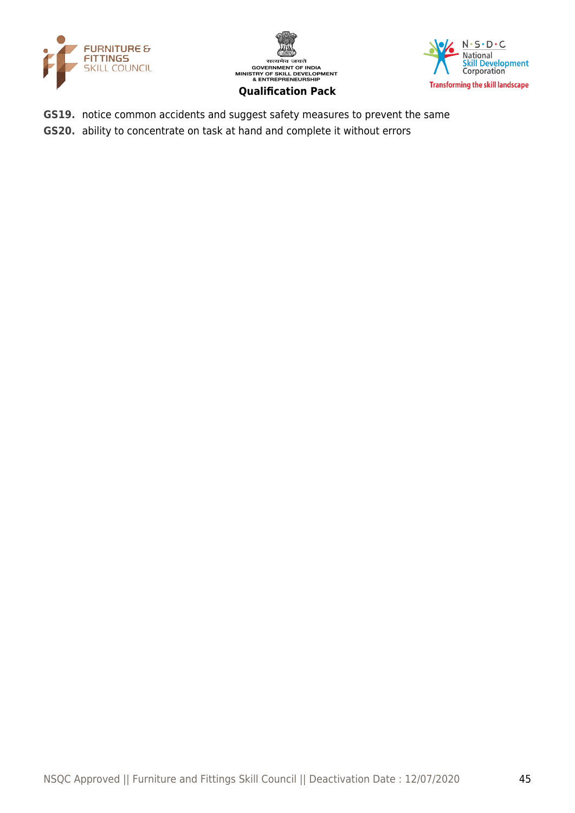





- **GS19.** notice common accidents and suggest safety measures to prevent the same
- **GS20.** ability to concentrate on task at hand and complete it without errors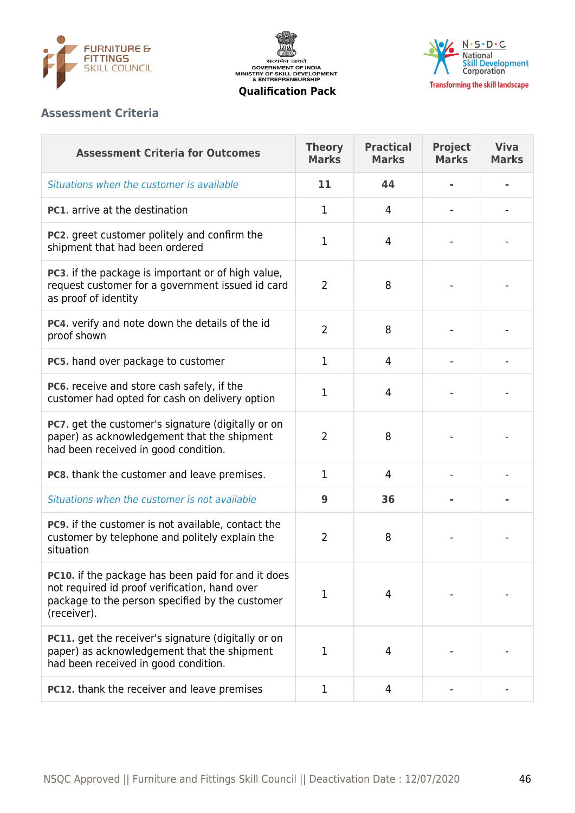





# **Assessment Criteria**

| <b>Assessment Criteria for Outcomes</b>                                                                                                                                      | <b>Theory</b><br><b>Marks</b> | <b>Practical</b><br><b>Marks</b> | <b>Project</b><br><b>Marks</b> | <b>Viva</b><br><b>Marks</b> |
|------------------------------------------------------------------------------------------------------------------------------------------------------------------------------|-------------------------------|----------------------------------|--------------------------------|-----------------------------|
| Situations when the customer is available                                                                                                                                    | 11                            | 44                               |                                |                             |
| <b>PC1.</b> arrive at the destination                                                                                                                                        | 1                             | 4                                |                                |                             |
| PC2. greet customer politely and confirm the<br>shipment that had been ordered                                                                                               | 1                             | 4                                |                                |                             |
| PC3. if the package is important or of high value,<br>request customer for a government issued id card<br>as proof of identity                                               | $\overline{2}$                | 8                                |                                |                             |
| PC4. verify and note down the details of the id<br>proof shown                                                                                                               | $\overline{2}$                | 8                                |                                |                             |
| PC5. hand over package to customer                                                                                                                                           | 1                             | $\overline{4}$                   |                                |                             |
| PC6. receive and store cash safely, if the<br>customer had opted for cash on delivery option                                                                                 | 1                             | 4                                |                                |                             |
| PC7. get the customer's signature (digitally or on<br>paper) as acknowledgement that the shipment<br>had been received in good condition.                                    | 2                             | 8                                |                                |                             |
| PC8. thank the customer and leave premises.                                                                                                                                  | 1                             | 4                                |                                |                             |
| Situations when the customer is not available                                                                                                                                | 9                             | 36                               |                                |                             |
| <b>PC9.</b> if the customer is not available, contact the<br>customer by telephone and politely explain the<br>situation                                                     | 2                             | 8                                |                                |                             |
| <b>PC10.</b> if the package has been paid for and it does<br>not required id proof verification, hand over<br>package to the person specified by the customer<br>(receiver). | 1                             | 4                                |                                |                             |
| <b>PC11.</b> get the receiver's signature (digitally or on<br>paper) as acknowledgement that the shipment<br>had been received in good condition.                            | 1                             | 4                                |                                |                             |
| PC12. thank the receiver and leave premises                                                                                                                                  | 1                             | 4                                |                                |                             |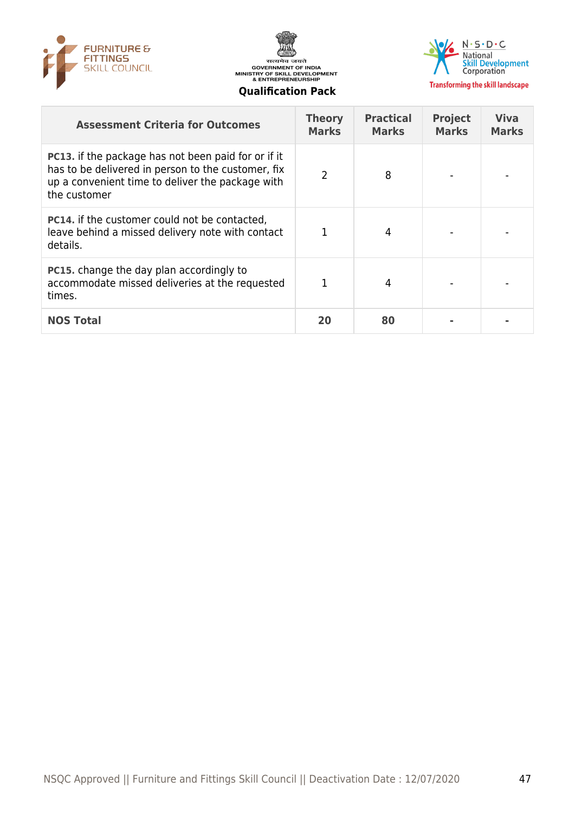





**Transforming the skill landscape** 

#### **Qualification Pack**

| <b>Assessment Criteria for Outcomes</b>                                                                                                                                              | <b>Theory</b><br><b>Marks</b> | <b>Practical</b><br><b>Marks</b> | <b>Project</b><br><b>Marks</b> | <b>Viva</b><br><b>Marks</b> |
|--------------------------------------------------------------------------------------------------------------------------------------------------------------------------------------|-------------------------------|----------------------------------|--------------------------------|-----------------------------|
| <b>PC13.</b> if the package has not been paid for or if it<br>has to be delivered in person to the customer, fix<br>up a convenient time to deliver the package with<br>the customer | C                             | 8                                |                                |                             |
| <b>PC14.</b> if the customer could not be contacted,<br>leave behind a missed delivery note with contact<br>details.                                                                 |                               | 4                                |                                |                             |
| <b>PC15.</b> change the day plan accordingly to<br>accommodate missed deliveries at the requested<br>times.                                                                          |                               | 4                                |                                |                             |
| <b>NOS Total</b>                                                                                                                                                                     | 20                            | 80                               |                                |                             |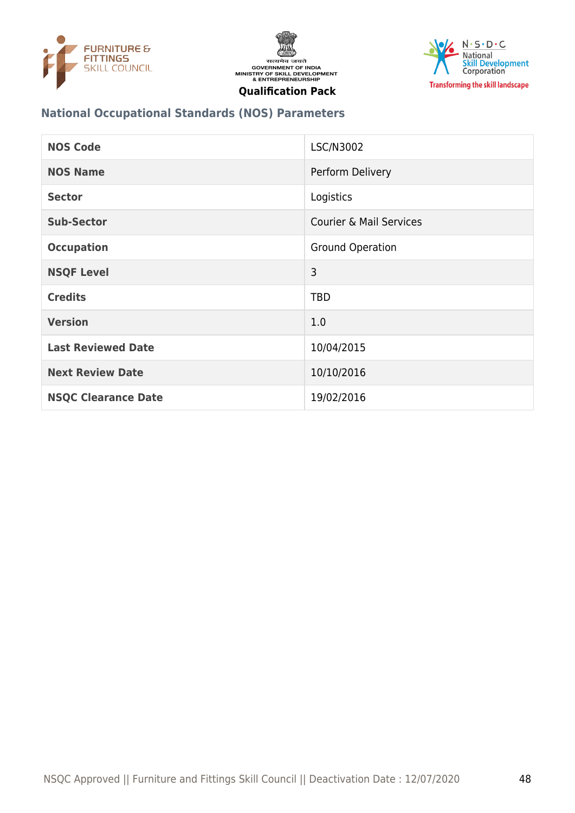





## **National Occupational Standards (NOS) Parameters**

| <b>NOS Code</b>            | LSC/N3002                          |
|----------------------------|------------------------------------|
| <b>NOS Name</b>            | Perform Delivery                   |
| <b>Sector</b>              | Logistics                          |
| <b>Sub-Sector</b>          | <b>Courier &amp; Mail Services</b> |
| <b>Occupation</b>          | <b>Ground Operation</b>            |
| <b>NSQF Level</b>          | 3                                  |
| <b>Credits</b>             | <b>TBD</b>                         |
| <b>Version</b>             | 1.0                                |
| <b>Last Reviewed Date</b>  | 10/04/2015                         |
| <b>Next Review Date</b>    | 10/10/2016                         |
| <b>NSQC Clearance Date</b> | 19/02/2016                         |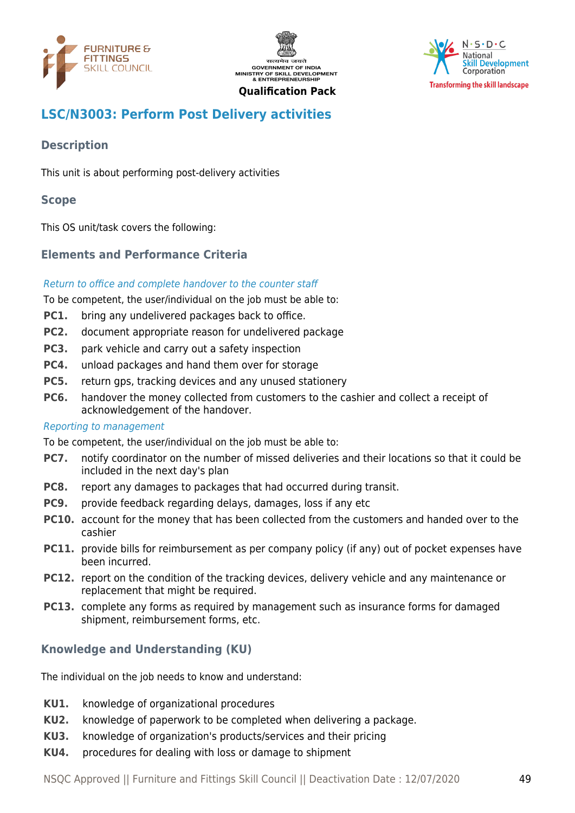





# <span id="page-48-0"></span>**LSC/N3003: Perform Post Delivery activities**

# **Description**

This unit is about performing post-delivery activities

#### **Scope**

This OS unit/task covers the following:

# **Elements and Performance Criteria**

#### Return to office and complete handover to the counter staff

To be competent, the user/individual on the job must be able to:

- **PC1.** bring any undelivered packages back to office.
- **PC2.** document appropriate reason for undelivered package
- **PC3.** park vehicle and carry out a safety inspection
- **PC4.** unload packages and hand them over for storage
- **PC5.** return gps, tracking devices and any unused stationery
- **PC6.** handover the money collected from customers to the cashier and collect a receipt of acknowledgement of the handover.

#### Reporting to management

To be competent, the user/individual on the job must be able to:

- **PC7.** notify coordinator on the number of missed deliveries and their locations so that it could be included in the next day's plan
- **PC8.** report any damages to packages that had occurred during transit.
- **PC9.** provide feedback regarding delays, damages, loss if any etc
- **PC10.** account for the money that has been collected from the customers and handed over to the cashier
- **PC11.** provide bills for reimbursement as per company policy (if any) out of pocket expenses have been incurred.
- **PC12.** report on the condition of the tracking devices, delivery vehicle and any maintenance or replacement that might be required.
- **PC13.** complete any forms as required by management such as insurance forms for damaged shipment, reimbursement forms, etc.

# **Knowledge and Understanding (KU)**

The individual on the job needs to know and understand:

- **KU1.** knowledge of organizational procedures
- **KU2.** knowledge of paperwork to be completed when delivering a package.
- **KU3.** knowledge of organization's products/services and their pricing
- **KU4.** procedures for dealing with loss or damage to shipment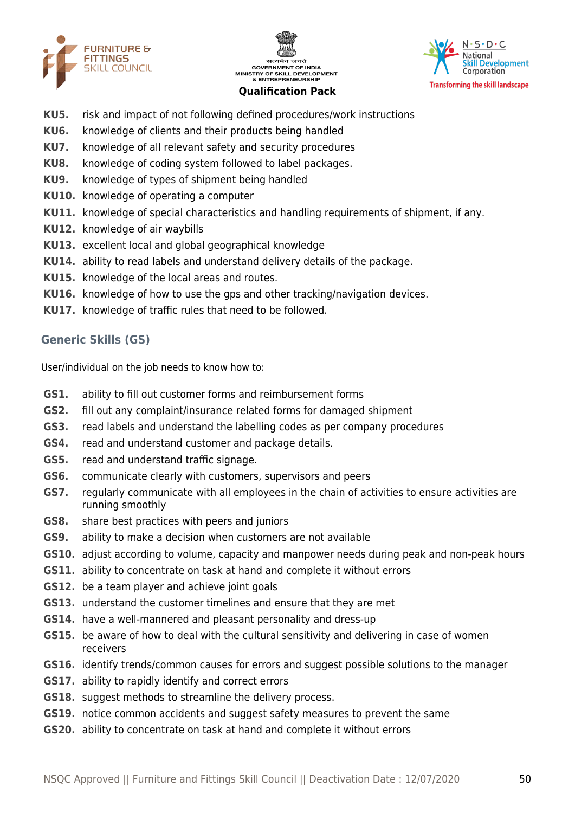





- **KU5.** risk and impact of not following defined procedures/work instructions
- **KU6.** knowledge of clients and their products being handled
- **KU7.** knowledge of all relevant safety and security procedures
- **KU8.** knowledge of coding system followed to label packages.
- **KU9.** knowledge of types of shipment being handled
- **KU10.** knowledge of operating a computer
- **KU11.** knowledge of special characteristics and handling requirements of shipment, if any.
- **KU12.** knowledge of air waybills
- **KU13.** excellent local and global geographical knowledge
- **KU14.** ability to read labels and understand delivery details of the package.
- **KU15.** knowledge of the local areas and routes.
- **KU16.** knowledge of how to use the gps and other tracking/navigation devices.
- **KU17.** knowledge of traffic rules that need to be followed.

#### **Generic Skills (GS)**

User/individual on the job needs to know how to:

- **GS1.** ability to fill out customer forms and reimbursement forms
- **GS2.** fill out any complaint/insurance related forms for damaged shipment
- **GS3.** read labels and understand the labelling codes as per company procedures
- **GS4.** read and understand customer and package details.
- **GS5.** read and understand traffic signage.
- **GS6.** communicate clearly with customers, supervisors and peers
- **GS7.** regularly communicate with all employees in the chain of activities to ensure activities are running smoothly
- **GS8.** share best practices with peers and juniors
- **GS9.** ability to make a decision when customers are not available
- **GS10.** adjust according to volume, capacity and manpower needs during peak and non-peak hours
- **GS11.** ability to concentrate on task at hand and complete it without errors
- **GS12.** be a team player and achieve joint goals
- **GS13.** understand the customer timelines and ensure that they are met
- **GS14.** have a well-mannered and pleasant personality and dress-up
- **GS15.** be aware of how to deal with the cultural sensitivity and delivering in case of women receivers
- **GS16.** identify trends/common causes for errors and suggest possible solutions to the manager
- **GS17.** ability to rapidly identify and correct errors
- **GS18.** suggest methods to streamline the delivery process.
- **GS19.** notice common accidents and suggest safety measures to prevent the same
- **GS20.** ability to concentrate on task at hand and complete it without errors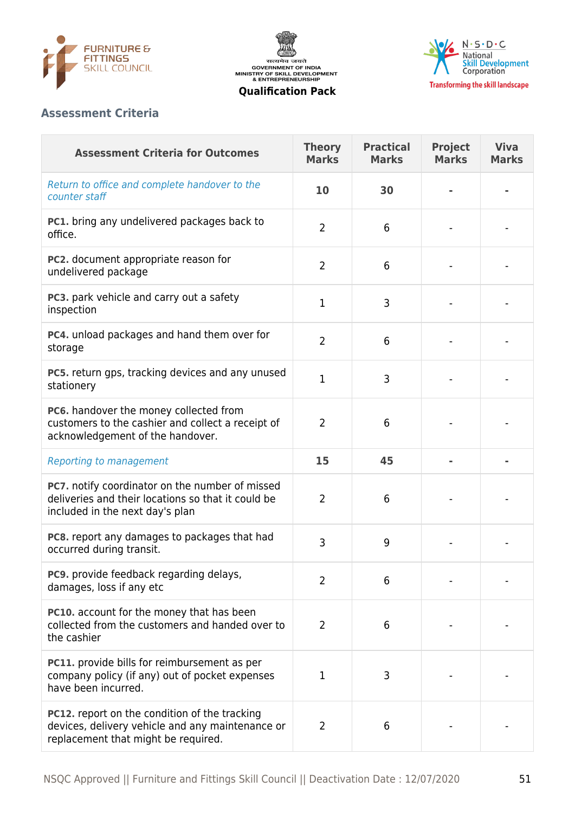





# **Assessment Criteria**

| <b>Assessment Criteria for Outcomes</b>                                                                                                         | <b>Theory</b><br><b>Marks</b> | <b>Practical</b><br><b>Marks</b> | <b>Project</b><br><b>Marks</b> | <b>Viva</b><br><b>Marks</b> |
|-------------------------------------------------------------------------------------------------------------------------------------------------|-------------------------------|----------------------------------|--------------------------------|-----------------------------|
| Return to office and complete handover to the<br>counter staff                                                                                  | 10                            | 30                               |                                |                             |
| PC1. bring any undelivered packages back to<br>office.                                                                                          | $\overline{2}$                | 6                                |                                |                             |
| PC2. document appropriate reason for<br>undelivered package                                                                                     | 2                             | 6                                |                                |                             |
| PC3. park vehicle and carry out a safety<br>inspection                                                                                          | $\mathbf 1$                   | 3                                |                                |                             |
| PC4. unload packages and hand them over for<br>storage                                                                                          | $\overline{2}$                | 6                                |                                |                             |
| <b>PC5.</b> return gps, tracking devices and any unused<br>stationery                                                                           | $\mathbf 1$                   | 3                                |                                |                             |
| PC6. handover the money collected from<br>customers to the cashier and collect a receipt of<br>acknowledgement of the handover.                 | $\overline{2}$                | 6                                |                                |                             |
| <b>Reporting to management</b>                                                                                                                  | 15                            | 45                               |                                |                             |
| PC7. notify coordinator on the number of missed<br>deliveries and their locations so that it could be<br>included in the next day's plan        | 2                             | 6                                |                                |                             |
| PC8. report any damages to packages that had<br>occurred during transit.                                                                        | 3                             | 9                                |                                |                             |
| PC9. provide feedback regarding delays,<br>damages, loss if any etc                                                                             | $\overline{2}$                | 6                                |                                |                             |
| <b>PC10.</b> account for the money that has been<br>collected from the customers and handed over to<br>the cashier                              | $\overline{2}$                | 6                                |                                |                             |
| PC11. provide bills for reimbursement as per<br>company policy (if any) out of pocket expenses<br>have been incurred.                           | 1                             | 3                                |                                |                             |
| <b>PC12.</b> report on the condition of the tracking<br>devices, delivery vehicle and any maintenance or<br>replacement that might be required. | 2                             | 6                                |                                |                             |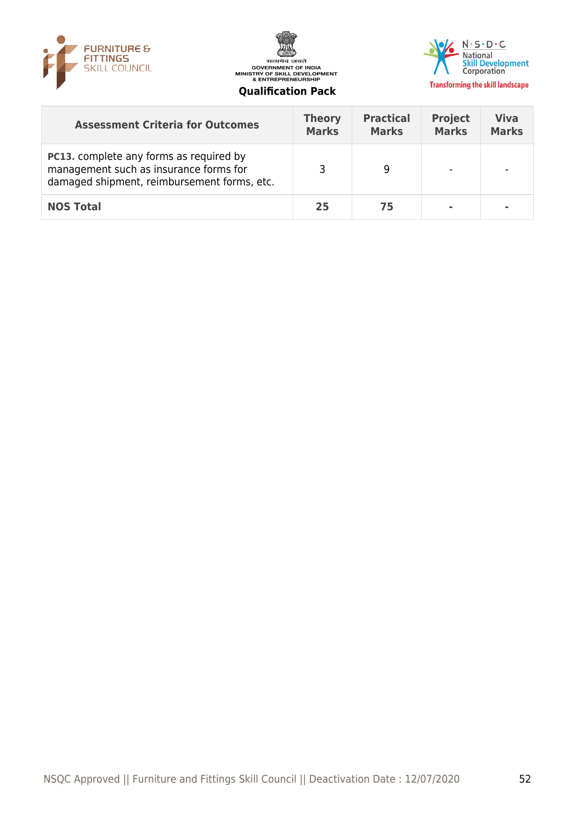





| <b>Assessment Criteria for Outcomes</b>                                                                                                 | <b>Theory</b><br><b>Marks</b> | <b>Practical</b><br><b>Marks</b> | <b>Project</b><br><b>Marks</b> | <b>Viva</b><br><b>Marks</b> |
|-----------------------------------------------------------------------------------------------------------------------------------------|-------------------------------|----------------------------------|--------------------------------|-----------------------------|
| <b>PC13.</b> complete any forms as required by<br>management such as insurance forms for<br>damaged shipment, reimbursement forms, etc. |                               | 9                                |                                | $\,$                        |
| <b>NOS Total</b>                                                                                                                        | 25                            | 75                               |                                | ۰                           |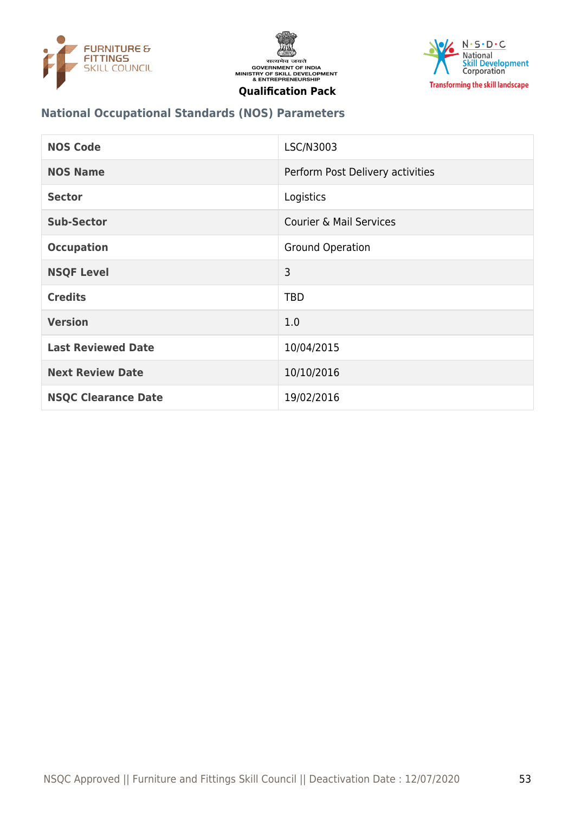





# **National Occupational Standards (NOS) Parameters**

| <b>NOS Code</b>            | LSC/N3003                          |
|----------------------------|------------------------------------|
| <b>NOS Name</b>            | Perform Post Delivery activities   |
| <b>Sector</b>              | Logistics                          |
| <b>Sub-Sector</b>          | <b>Courier &amp; Mail Services</b> |
| <b>Occupation</b>          | <b>Ground Operation</b>            |
| <b>NSQF Level</b>          | 3                                  |
| <b>Credits</b>             | <b>TBD</b>                         |
| <b>Version</b>             | 1.0                                |
| <b>Last Reviewed Date</b>  | 10/04/2015                         |
| <b>Next Review Date</b>    | 10/10/2016                         |
| <b>NSQC Clearance Date</b> | 19/02/2016                         |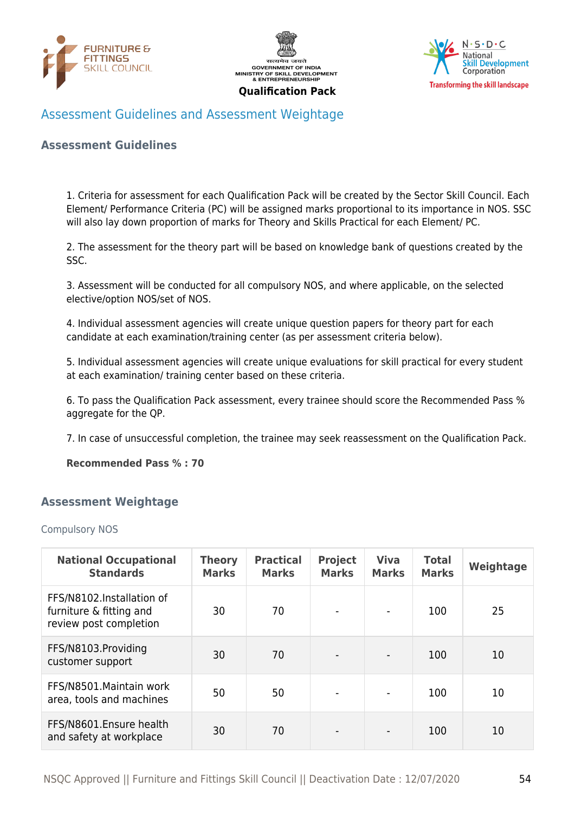





# <span id="page-53-0"></span>Assessment Guidelines and Assessment Weightage

#### **Assessment Guidelines**

1. Criteria for assessment for each Qualification Pack will be created by the Sector Skill Council. Each Element/ Performance Criteria (PC) will be assigned marks proportional to its importance in NOS. SSC will also lay down proportion of marks for Theory and Skills Practical for each Element/ PC.

2. The assessment for the theory part will be based on knowledge bank of questions created by the SSC.

3. Assessment will be conducted for all compulsory NOS, and where applicable, on the selected elective/option NOS/set of NOS.

4. Individual assessment agencies will create unique question papers for theory part for each candidate at each examination/training center (as per assessment criteria below).

5. Individual assessment agencies will create unique evaluations for skill practical for every student at each examination/ training center based on these criteria.

6. To pass the Qualification Pack assessment, every trainee should score the Recommended Pass % aggregate for the QP.

7. In case of unsuccessful completion, the trainee may seek reassessment on the Qualification Pack.

**Recommended Pass % : 70**

#### <span id="page-53-1"></span>**Assessment Weightage**

#### Compulsory NOS

| <b>National Occupational</b><br><b>Standards</b>                               | <b>Theory</b><br><b>Marks</b> | <b>Practical</b><br><b>Marks</b> | <b>Project</b><br><b>Marks</b> | <b>Viva</b><br><b>Marks</b> | <b>Total</b><br><b>Marks</b> | Weightage |
|--------------------------------------------------------------------------------|-------------------------------|----------------------------------|--------------------------------|-----------------------------|------------------------------|-----------|
| FFS/N8102.Installation of<br>furniture & fitting and<br>review post completion | 30                            | 70                               |                                | $\overline{\phantom{a}}$    | 100                          | 25        |
| FFS/N8103.Providing<br>customer support                                        | 30                            | 70                               |                                | $\overline{\phantom{0}}$    | 100                          | 10        |
| FFS/N8501. Maintain work<br>area, tools and machines                           | 50                            | 50                               |                                |                             | 100                          | 10        |
| FFS/N8601.Ensure health<br>and safety at workplace                             | 30                            | 70                               |                                |                             | 100                          | 10        |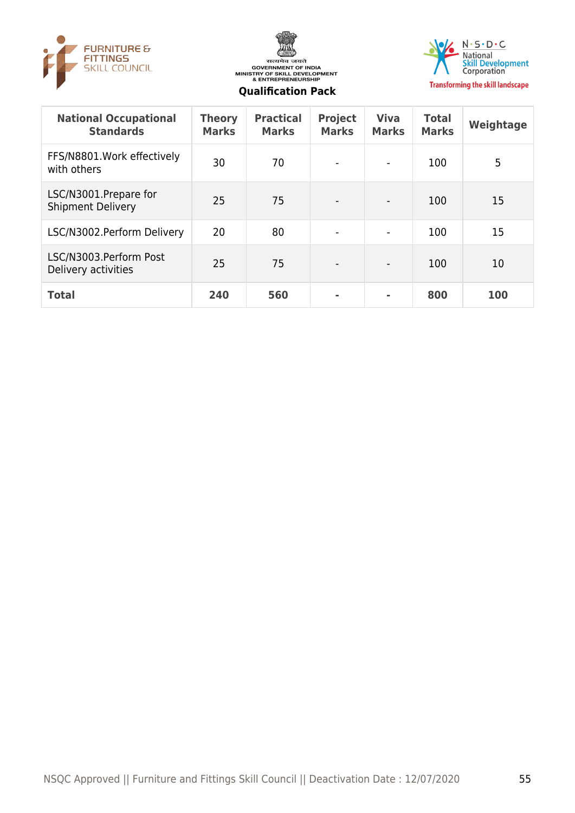





| <b>National Occupational</b><br><b>Standards</b>  | <b>Theory</b><br><b>Marks</b> | <b>Practical</b><br><b>Marks</b> | <b>Project</b><br><b>Marks</b> | <b>Viva</b><br><b>Marks</b>  | <b>Total</b><br><b>Marks</b> | Weightage |
|---------------------------------------------------|-------------------------------|----------------------------------|--------------------------------|------------------------------|------------------------------|-----------|
| FFS/N8801. Work effectively<br>with others        | 30                            | 70                               |                                | $\qquad \qquad \blacksquare$ | 100                          | 5         |
| LSC/N3001.Prepare for<br><b>Shipment Delivery</b> | 25                            | 75                               |                                | $\overline{a}$               | 100                          | 15        |
| LSC/N3002.Perform Delivery                        | 20                            | 80                               |                                | $\overline{\phantom{a}}$     | 100                          | 15        |
| LSC/N3003.Perform Post<br>Delivery activities     | 25                            | 75                               |                                | $\qquad \qquad$              | 100                          | 10        |
| <b>Total</b>                                      | 240                           | 560                              | ۰                              | ۰                            | 800                          | 100       |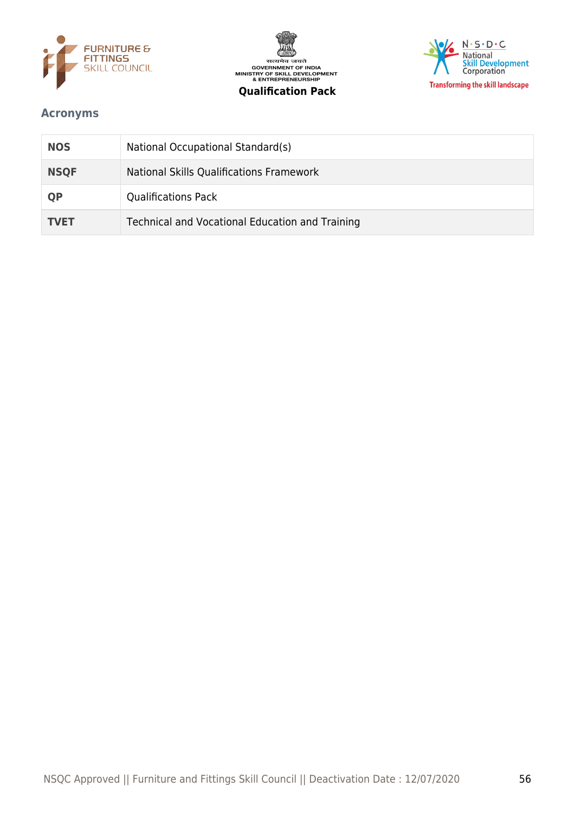





## <span id="page-55-0"></span>**Acronyms**

| <b>NOS</b>  | National Occupational Standard(s)               |
|-------------|-------------------------------------------------|
| <b>NSQF</b> | National Skills Qualifications Framework        |
| <b>QP</b>   | <b>Qualifications Pack</b>                      |
| <b>TVET</b> | Technical and Vocational Education and Training |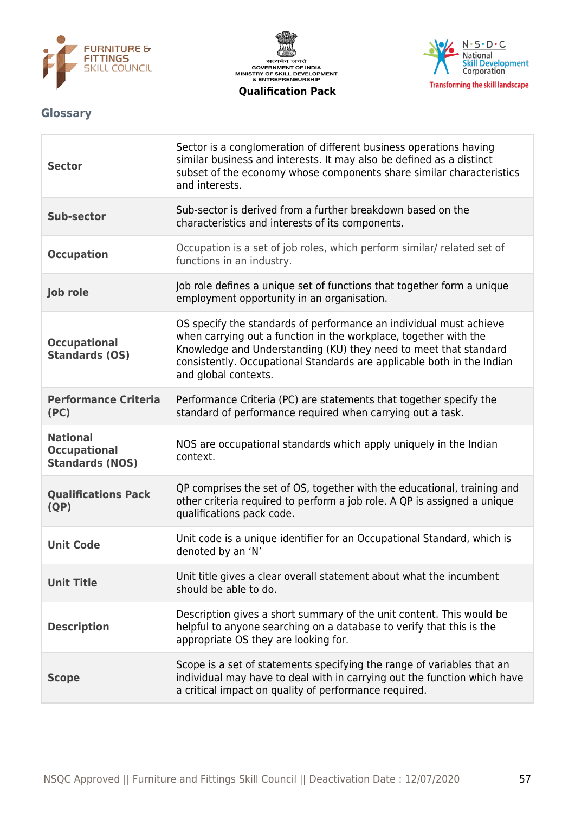





## <span id="page-56-0"></span>**Glossary**

| <b>Sector</b>                                                    | Sector is a conglomeration of different business operations having<br>similar business and interests. It may also be defined as a distinct<br>subset of the economy whose components share similar characteristics<br>and interests.                                                                         |
|------------------------------------------------------------------|--------------------------------------------------------------------------------------------------------------------------------------------------------------------------------------------------------------------------------------------------------------------------------------------------------------|
| Sub-sector                                                       | Sub-sector is derived from a further breakdown based on the<br>characteristics and interests of its components.                                                                                                                                                                                              |
| <b>Occupation</b>                                                | Occupation is a set of job roles, which perform similar/ related set of<br>functions in an industry.                                                                                                                                                                                                         |
| Job role                                                         | Job role defines a unique set of functions that together form a unique<br>employment opportunity in an organisation.                                                                                                                                                                                         |
| <b>Occupational</b><br><b>Standards (OS)</b>                     | OS specify the standards of performance an individual must achieve<br>when carrying out a function in the workplace, together with the<br>Knowledge and Understanding (KU) they need to meet that standard<br>consistently. Occupational Standards are applicable both in the Indian<br>and global contexts. |
| <b>Performance Criteria</b><br>(PC)                              | Performance Criteria (PC) are statements that together specify the<br>standard of performance required when carrying out a task.                                                                                                                                                                             |
| <b>National</b><br><b>Occupational</b><br><b>Standards (NOS)</b> | NOS are occupational standards which apply uniquely in the Indian<br>context.                                                                                                                                                                                                                                |
| <b>Qualifications Pack</b><br>(QP)                               | QP comprises the set of OS, together with the educational, training and<br>other criteria required to perform a job role. A QP is assigned a unique<br>qualifications pack code.                                                                                                                             |
| <b>Unit Code</b>                                                 | Unit code is a unique identifier for an Occupational Standard, which is<br>denoted by an 'N'                                                                                                                                                                                                                 |
| <b>Unit Title</b>                                                | Unit title gives a clear overall statement about what the incumbent<br>should be able to do.                                                                                                                                                                                                                 |
| <b>Description</b>                                               | Description gives a short summary of the unit content. This would be<br>helpful to anyone searching on a database to verify that this is the<br>appropriate OS they are looking for.                                                                                                                         |
| <b>Scope</b>                                                     | Scope is a set of statements specifying the range of variables that an<br>individual may have to deal with in carrying out the function which have<br>a critical impact on quality of performance required.                                                                                                  |